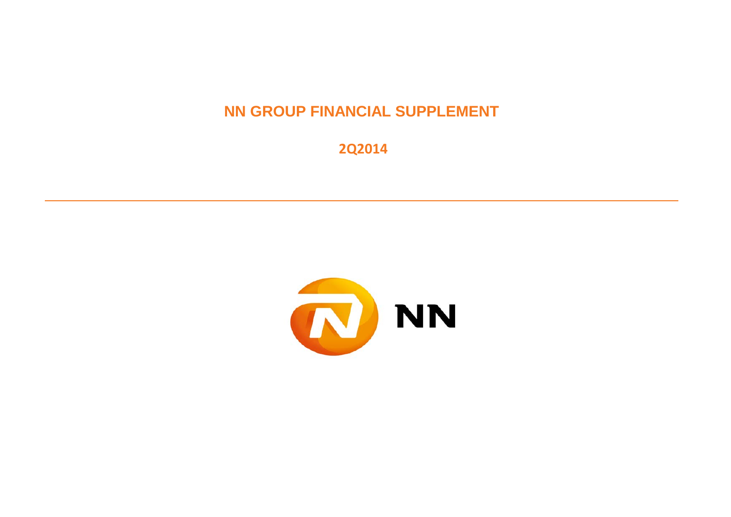**NN GROUP FINANCIAL SUPPLEMENT**

 **2Q2014**

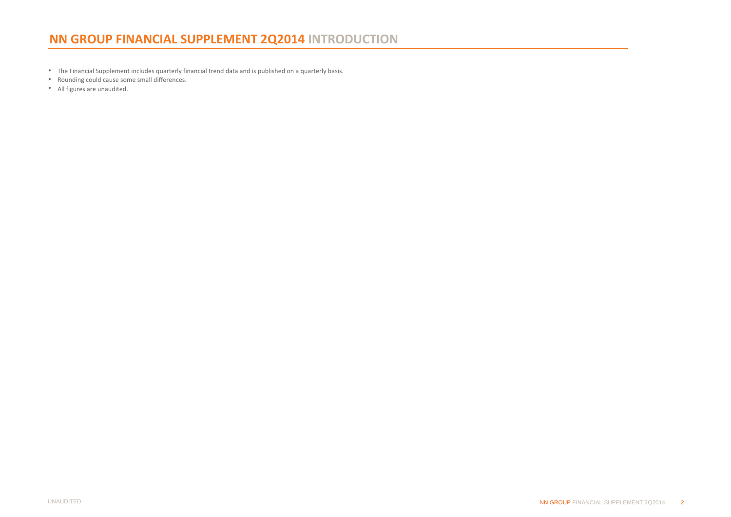**•**  The Financial Supplement includes quarterly financial trend data and is published on a quarterly basis.

- Rounding could cause some small differences.
- All figures are unaudited.

'n,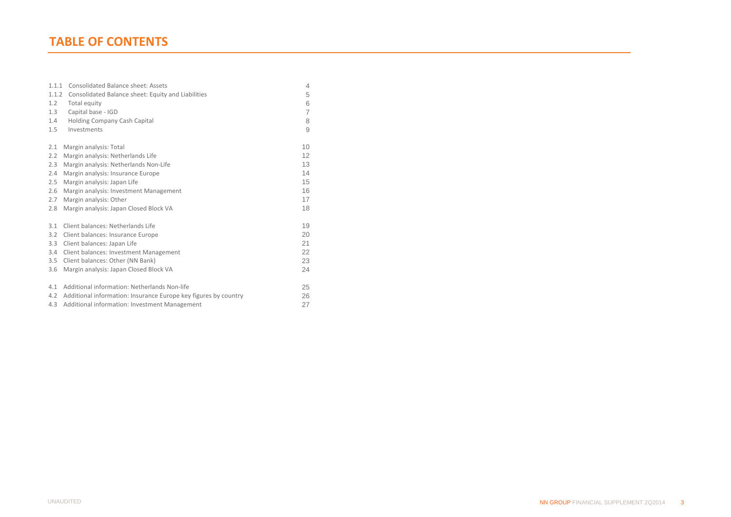| 1.1.1 | Consolidated Balance sheet: Assets                              | 4              |
|-------|-----------------------------------------------------------------|----------------|
| 1.1.2 | Consolidated Balance sheet: Equity and Liabilities              | 5              |
| 1.2   | Total equity                                                    | 6              |
| 1.3   | Capital base - IGD                                              | $\overline{7}$ |
| 1.4   | Holding Company Cash Capital                                    | 8              |
| 1.5   | Investments                                                     | 9              |
| 2.1   | Margin analysis: Total                                          | 10             |
| 2.2   | Margin analysis: Netherlands Life                               | 12             |
| 2.3   | Margin analysis: Netherlands Non-Life                           | 13             |
| 2.4   | Margin analysis: Insurance Europe                               | 14             |
| 2.5   | Margin analysis: Japan Life                                     | 15             |
| 2.6   | Margin analysis: Investment Management                          | 16             |
| 2.7   | Margin analysis: Other                                          | 17             |
| 2.8   | Margin analysis: Japan Closed Block VA                          | 18             |
| 3.1   | Client balances: Netherlands Life                               | 19             |
| 3.2   | Client balances: Insurance Europe                               | 20             |
| 3.3   | Client balances: Japan Life                                     | 21             |
| 3.4   | Client balances: Investment Management                          | 22             |
| 3.5   | Client balances: Other (NN Bank)                                | 23             |
| 3.6   | Margin analysis: Japan Closed Block VA                          | 24             |
| 4.1   | Additional information: Netherlands Non-life                    | 25             |
| 4.2   | Additional information: Insurance Europe key figures by country | 26             |
| 4.3   | Additional information: Investment Management                   | 27             |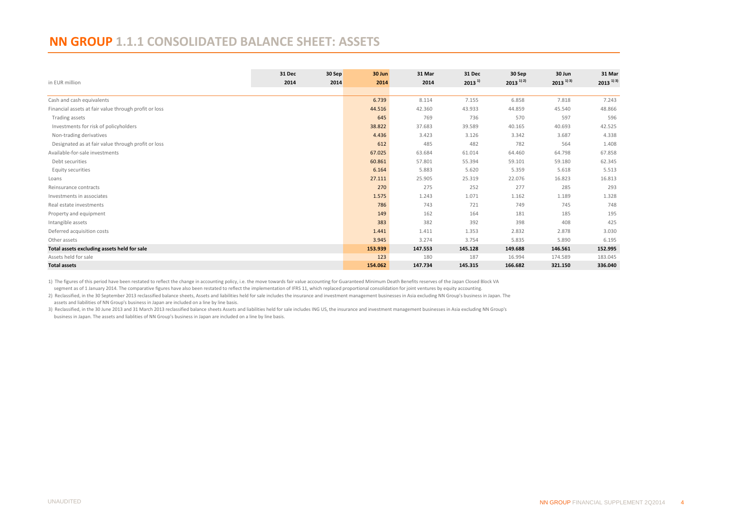#### <span id="page-3-0"></span>**NN GROUP 1.1.1 CONSOLIDATED BALANCE SHEET: ASSETS**

|                                                       | 31 Dec | 30 Sep | 30 Jun  | 31 Mar  | 31 Dec      | 30 Sep                              | 30 Jun                             | 31 Mar                             |
|-------------------------------------------------------|--------|--------|---------|---------|-------------|-------------------------------------|------------------------------------|------------------------------------|
| in EUR million                                        | 2014   | 2014   | 2014    | 2014    | $2013^{11}$ | $2013$ <sup>1)</sup> <sup>2</sup> ) | $2013$ <sup>1)</sup> <sup>3)</sup> | $2013$ <sup>1)</sup> <sup>3)</sup> |
| Cash and cash equivalents                             |        |        | 6.739   | 8.114   | 7.155       | 6.858                               | 7.818                              | 7.243                              |
| Financial assets at fair value through profit or loss |        |        | 44.516  | 42.360  | 43.933      | 44.859                              | 45.540                             | 48.866                             |
| Trading assets                                        |        |        | 645     | 769     | 736         | 570                                 | 597                                | 596                                |
| Investments for risk of policyholders                 |        |        | 38.822  | 37.683  | 39.589      | 40.165                              | 40.693                             | 42.525                             |
| Non-trading derivatives                               |        |        | 4.436   | 3.423   | 3.126       | 3.342                               | 3.687                              | 4.338                              |
| Designated as at fair value through profit or loss    |        |        | 612     | 485     | 482         | 782                                 | 564                                | 1.408                              |
| Available-for-sale investments                        |        |        | 67.025  | 63.684  | 61.014      | 64.460                              | 64.798                             | 67.858                             |
| Debt securities                                       |        |        | 60.861  | 57.801  | 55.394      | 59.101                              | 59.180                             | 62.345                             |
| Equity securities                                     |        |        | 6.164   | 5.883   | 5.620       | 5.359                               | 5.618                              | 5.513                              |
| Loans                                                 |        |        | 27.111  | 25.905  | 25.319      | 22.076                              | 16.823                             | 16.813                             |
| Reinsurance contracts                                 |        |        | 270     | 275     | 252         | 277                                 | 285                                | 293                                |
| Investments in associates                             |        |        | 1.575   | 1.243   | 1.071       | 1.162                               | 1.189                              | 1.328                              |
| Real estate investments                               |        |        | 786     | 743     | 721         | 749                                 | 745                                | 748                                |
| Property and equipment                                |        |        | 149     | 162     | 164         | 181                                 | 185                                | 195                                |
| Intangible assets                                     |        |        | 383     | 382     | 392         | 398                                 | 408                                | 425                                |
| Deferred acquisition costs                            |        |        | 1.441   | 1.411   | 1.353       | 2.832                               | 2.878                              | 3.030                              |
| Other assets                                          |        |        | 3.945   | 3.274   | 3.754       | 5.835                               | 5.890                              | 6.195                              |
| Total assets excluding assets held for sale           |        |        | 153.939 | 147.553 | 145.128     | 149.688                             | 146.561                            | 152.995                            |
| Assets held for sale                                  |        |        | 123     | 180     | 187         | 16.994                              | 174.589                            | 183.045                            |
| <b>Total assets</b>                                   |        |        | 154.062 | 147.734 | 145.315     | 166.682                             | 321.150                            | 336.040                            |

1) The figures of this period have been restated to reflect the change in accounting policy, i.e. the move towards fair value accounting for Guaranteed Minimum Death Benefits reserves of the Japan Closed Block VA

segment as of 1 January 2014. The comparative figures have also been restated to reflect the implementation of IFRS 11, which replaced proportional consolidation for joint ventures by equity accounting.

2) Reclassified, in the 30 September 2013 reclassified balance sheets, Assets and liabilities held for sale includes the insurance and investment management businesses in Asia excluding NN Group's business in Japan. The assets and liabilities of NN Group's business in Japan are included on a line by line basis.

3) Reclassified, in the 30 June 2013 and 31 March 2013 reclassified balance sheets Assets and liabilities held for sale includes ING US, the insurance and investment management businesses in Asia excluding NN Group's business in Japan. The assets and liablities of NN Group's business in Japan are included on a line by line basis.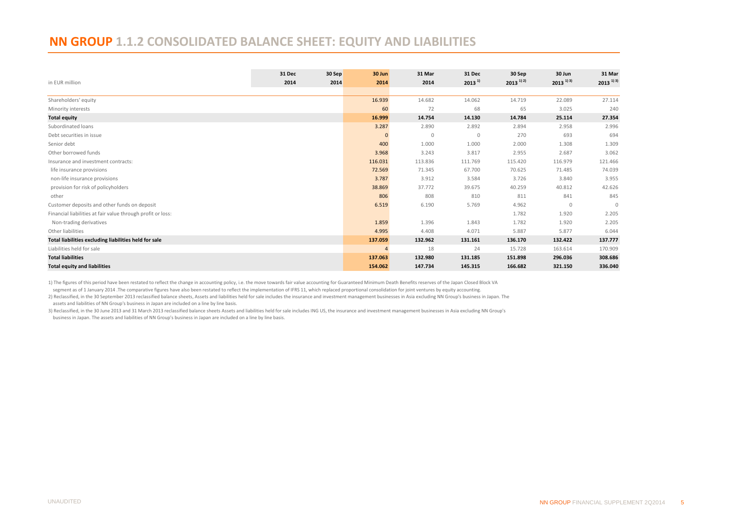#### <span id="page-4-0"></span>**NN GROUP 1.1.2 CONSOLIDATED BALANCE SHEET: EQUITY AND LIABILITIES**

| in EUR million                                              | 31 Dec<br>2014 | 30 Sep<br>2014 | 30 Jun<br>2014 | 31 Mar<br>2014 | 31 Dec<br>$2013^{11}$ | 30 Sep<br>$2013$ <sup>1)</sup> <sup>2</sup> ) | 30 Jun<br>$2013$ <sup>1) 3)</sup> | 31 Mar<br>$2013$ <sup>1)</sup> <sup>3)</sup> |
|-------------------------------------------------------------|----------------|----------------|----------------|----------------|-----------------------|-----------------------------------------------|-----------------------------------|----------------------------------------------|
|                                                             |                |                |                |                |                       |                                               |                                   |                                              |
| Shareholders' equity                                        |                |                | 16.939         | 14.682         | 14.062                | 14.719                                        | 22.089                            | 27.114                                       |
| Minority interests                                          |                |                | 60             | 72             | 68                    | 65                                            | 3.025                             | 240                                          |
| <b>Total equity</b>                                         |                |                | 16.999         | 14.754         | 14.130                | 14.784                                        | 25.114                            | 27.354                                       |
| Subordinated loans                                          |                |                | 3.287          | 2.890          | 2.892                 | 2.894                                         | 2.958                             | 2.996                                        |
| Debt securities in issue                                    |                |                | $\Omega$       | $\mathbf{0}$   | $\mathbf 0$           | 270                                           | 693                               | 694                                          |
| Senior debt                                                 |                |                | 400            | 1.000          | 1.000                 | 2.000                                         | 1.308                             | 1.309                                        |
| Other borrowed funds                                        |                |                | 3.968          | 3.243          | 3.817                 | 2.955                                         | 2.687                             | 3.062                                        |
| Insurance and investment contracts:                         |                |                | 116.031        | 113.836        | 111.769               | 115.420                                       | 116.979                           | 121.466                                      |
| life insurance provisions                                   |                |                | 72.569         | 71.345         | 67.700                | 70.625                                        | 71.485                            | 74.039                                       |
| non-life insurance provisions                               |                |                | 3.787          | 3.912          | 3.584                 | 3.726                                         | 3.840                             | 3.955                                        |
| provision for risk of policyholders                         |                |                | 38.869         | 37.772         | 39.675                | 40.259                                        | 40.812                            | 42.626                                       |
| other                                                       |                |                | 806            | 808            | 810                   | 811                                           | 841                               | 845                                          |
| Customer deposits and other funds on deposit                |                |                | 6.519          | 6.190          | 5.769                 | 4.962                                         | $\mathbf{0}$                      | $\Omega$                                     |
| Financial liabilities at fair value through profit or loss: |                |                |                |                |                       | 1.782                                         | 1.920                             | 2.205                                        |
| Non-trading derivatives                                     |                |                | 1.859          | 1.396          | 1.843                 | 1.782                                         | 1.920                             | 2.205                                        |
| Other liabilities                                           |                |                | 4.995          | 4.408          | 4.071                 | 5.887                                         | 5.877                             | 6.044                                        |
| Total liabilities excluding liabilities held for sale       |                |                | 137.059        | 132.962        | 131.161               | 136.170                                       | 132.422                           | 137.777                                      |
| Liabilities held for sale                                   |                |                |                | 18             | 24                    | 15.728                                        | 163.614                           | 170.909                                      |
| <b>Total liabilities</b>                                    |                |                | 137.063        | 132.980        | 131.185               | 151.898                                       | 296.036                           | 308.686                                      |
| <b>Total equity and liabilities</b>                         |                |                | 154.062        | 147.734        | 145.315               | 166.682                                       | 321.150                           | 336.040                                      |

1) The figures of this period have been restated to reflect the change in accounting policy, i.e. the move towards fair value accounting for Guaranteed Minimum Death Benefits reserves of the Japan Closed Block VA

segment as of 1 January 2014. The comparative figures have also been restated to reflect the implementation of IFRS 11, which replaced proportional consolidation for joint ventures by equity accounting.

2) Reclassified, in the 30 September 2013 reclassified balance sheets, Assets and liabilities held for sale includes the insurance and investment management businesses in Asia excluding NN Group's business in Japan. The assets and liabilities of NN Group's business in Japan are included on a line by line basis.

 business in Japan. The assets and liabilities of NN Group's business in Japan are included on a line by line basis. 3) Reclassified, in the 30 June 2013 and 31 March 2013 reclassified balance sheets Assets and liabilities held for sale includes ING US, the insurance and investment management businesses in Asia excluding NN Group's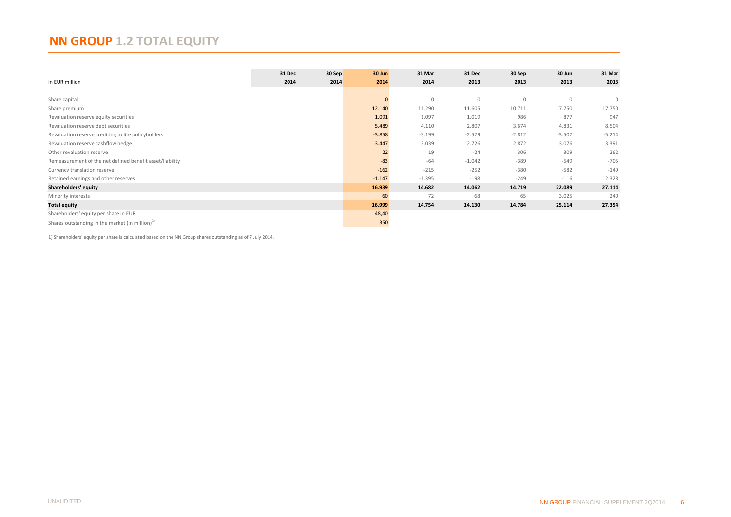# <span id="page-5-0"></span>**NN GROUP 1.2 TOTAL EQUITY**

|                                                          | 31 Dec | 30 Sep | 30 Jun       | 31 Mar      | 31 Dec      | 30 Sep      | 30 Jun      | 31 Mar       |
|----------------------------------------------------------|--------|--------|--------------|-------------|-------------|-------------|-------------|--------------|
| in EUR million                                           | 2014   | 2014   | 2014         | 2014        | 2013        | 2013        | 2013        | 2013         |
|                                                          |        |        |              |             |             |             |             |              |
| Share capital                                            |        |        | $\mathbf{0}$ | $\mathbf 0$ | $\mathbb O$ | $\mathbf 0$ | $\mathbb O$ | $\mathbf{0}$ |
| Share premium                                            |        |        | 12.140       | 11.290      | 11.605      | 10.711      | 17.750      | 17.750       |
| Revaluation reserve equity securities                    |        |        | 1.091        | 1.097       | 1.019       | 986         | 877         | 947          |
| Revaluation reserve debt securities                      |        |        | 5.489        | 4.110       | 2.807       | 3.674       | 4.831       | 8.504        |
| Revaluation reserve crediting to life policyholders      |        |        | $-3.858$     | $-3.199$    | $-2.579$    | $-2.812$    | $-3.507$    | $-5.214$     |
| Revaluation reserve cashflow hedge                       |        |        | 3.447        | 3.039       | 2.726       | 2.872       | 3.076       | 3.391        |
| Other revaluation reserve                                |        |        | 22           | 19          | $-24$       | 306         | 309         | 262          |
| Remeasurement of the net defined benefit asset/liability |        |        | $-83$        | $-64$       | $-1.042$    | $-389$      | $-549$      | $-705$       |
| Currency translation reserve                             |        |        | $-162$       | $-215$      | $-252$      | $-380$      | $-582$      | $-149$       |
| Retained earnings and other reserves                     |        |        | $-1.147$     | $-1.395$    | $-198$      | $-249$      | $-116$      | 2.328        |
| Shareholders' equity                                     |        |        | 16.939       | 14.682      | 14.062      | 14.719      | 22.089      | 27.114       |
| Minority interests                                       |        |        | 60           | 72          | 68          | 65          | 3.025       | 240          |
| <b>Total equity</b>                                      |        |        | 16.999       | 14.754      | 14.130      | 14.784      | 25.114      | 27.354       |
| Shareholders' equity per share in EUR                    |        |        | 48,40        |             |             |             |             |              |
| Shares outstanding in the market (in million) $1$        |        |        | 350          |             |             |             |             |              |

1) Shareholders' equity per share is calculated based on the NN Group shares outstanding as of 7 July 2014.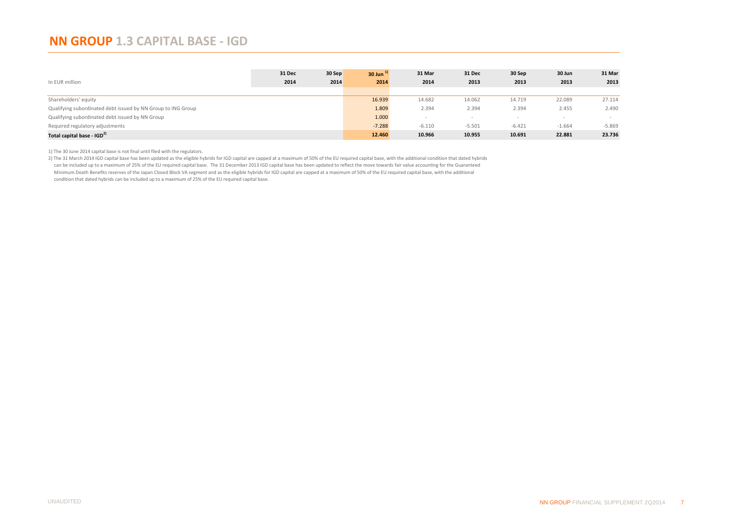#### <span id="page-6-0"></span>**NN GROUP 1.3 CAPITAL BASE - IGD**

|                                                              | 31 Dec | 30 Sep | $30$ Jun <sup><math>1</math></sup> | 31 Mar   | 31 Dec   | 30 Sep   | 30 Jun   | 31 Mar   |
|--------------------------------------------------------------|--------|--------|------------------------------------|----------|----------|----------|----------|----------|
| In EUR million                                               | 2014   | 2014   | 2014                               | 2014     | 2013     | 2013     | 2013     | 2013     |
|                                                              |        |        |                                    |          |          |          |          |          |
| Shareholders' equity                                         |        |        | 16.939                             | 14.682   | 14.062   | 14.719   | 22.089   | 27.114   |
| Qualifying subordinated debt issued by NN Group to ING Group |        |        | 1.809                              | 2.394    | 2.394    | 2.394    | 2.455    | 2.490    |
| Qualifying subordinated debt issued by NN Group              |        |        | 1.000                              |          |          |          |          |          |
| Required regulatory adjustments                              |        |        | $-7.288$                           | $-6.110$ | $-5.501$ | $-6.421$ | $-1.664$ | $-5.869$ |
| Total capital base - IGD <sup>2)</sup>                       |        |        | 12.460                             | 10.966   | 10.955   | 10.691   | 22.881   | 23.736   |

1) The 30 June 2014 capital base is not final until filed with the regulators.

2) The 31 March 2014 IGD capital base has been updated as the eligible hybrids for IGD capital are capped at a maximum of 50% of the EU required capital base, with the additional condition that dated hybrids

can be included up to a maximum of 25% of the EU required capital base. The 31 December 2013 IGD capital base has been updated to reflect the move towards fair value accounting for the Guaranteed Minimum Death Benefits reserves of the Japan Closed Block VA segment and as the eligible hybrids for IGD capital are capped at a maximum of 50% of the EU required capital base, with the additional

condition that dated hybrids can be included up to a maximum of 25% of the EU required capital base.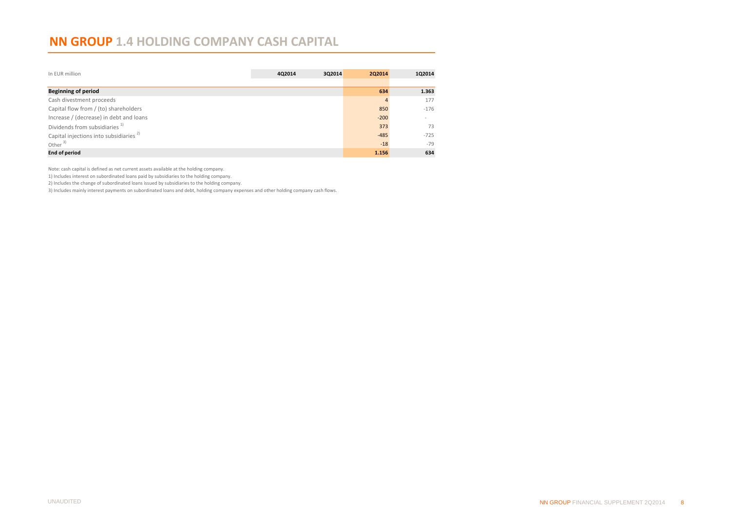#### <span id="page-7-0"></span>**NN GROUP 1.4 HOLDING COMPANY CASH CAPITAL**

| In EUR million                                     | 4Q2014 | 3Q2014 | <b>2Q2014</b> | 1Q2014 |
|----------------------------------------------------|--------|--------|---------------|--------|
|                                                    |        |        |               |        |
| <b>Beginning of period</b>                         |        |        | 634           | 1.363  |
| Cash divestment proceeds                           |        |        |               | 177    |
| Capital flow from / (to) shareholders              |        |        | 850           | $-176$ |
| Increase / (decrease) in debt and loans            |        |        | $-200$        |        |
| Dividends from subsidiaries <sup>1)</sup>          |        |        | 373           | 73     |
| Capital injections into subsidiaries <sup>2)</sup> |        |        | $-485$        | $-725$ |
| Other $3)$                                         |        |        | $-18$         | $-79$  |
| <b>End of period</b>                               |        |        | 1.156         | 634    |

Note: cash capital is defined as net current assets available at the holding company.

1) Includes interest on subordinated loans paid by subsidiaries to the holding company.

2) Includes the change of subordinated loans issued by subsidiaries to the holding company.

3) Includes mainly interest payments on subordinated loans and debt, holding company expenses and other holding company cash flows.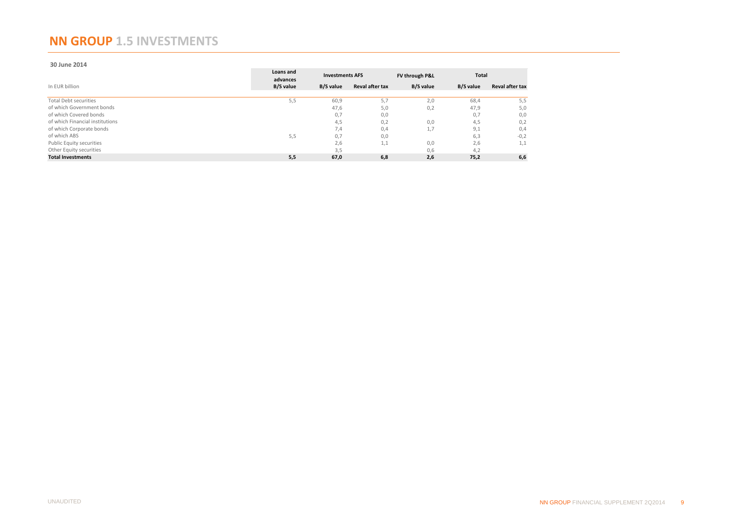#### <span id="page-8-0"></span>**NN GROUP 1.5 INVESTMENTS**

#### **30 June 2014**

|                                 | Loans and<br>advances |           | <b>Investments AFS</b> | FV through P&L | <b>Total</b> |                        |  |
|---------------------------------|-----------------------|-----------|------------------------|----------------|--------------|------------------------|--|
| In EUR billion                  | B/S value             | B/S value | <b>Reval after tax</b> | B/S value      | B/S value    | <b>Reval after tax</b> |  |
| <b>Total Debt securities</b>    | 5,5                   | 60,9      | 5,7                    | 2,0            | 68,4         | 5,5                    |  |
| of which Government bonds       |                       | 47,6      | 5,0                    | 0,2            | 47,9         | 5,0                    |  |
| of which Covered bonds          |                       | 0,7       | 0,0                    |                | 0,7          | 0,0                    |  |
| of which Financial institutions |                       | 4,5       | 0,2                    | 0,0            | 4,5          | 0,2                    |  |
| of which Corporate bonds        |                       | 7,4       | 0,4                    | 1,7            | 9,1          | 0,4                    |  |
| of which ABS                    | 5,5                   | 0,7       | 0,0                    |                | 6,3          | $-0,2$                 |  |
| Public Equity securities        |                       | 2,6       | 1,1                    | 0,0            | 2,6          | 1,1                    |  |
| Other Equity securities         |                       | 3,5       |                        | 0,6            | 4.2          |                        |  |
| <b>Total Investments</b>        | 5,5                   | 67,0      | 6,8                    | 2,6            | 75,2         | 6,6                    |  |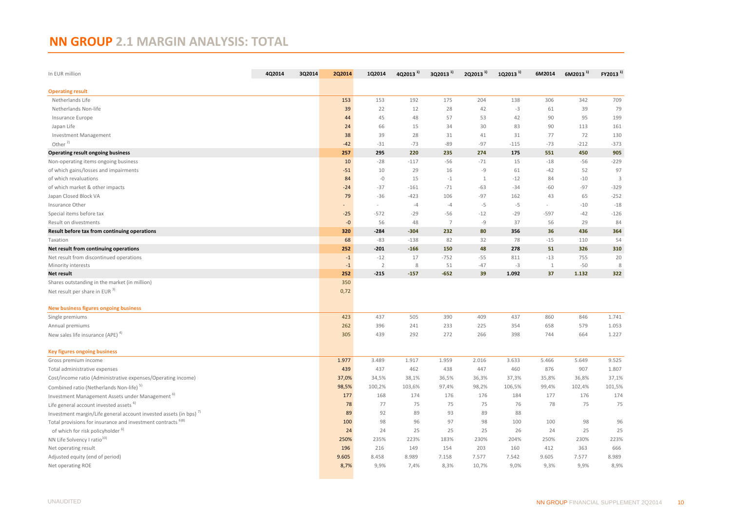# <span id="page-9-0"></span>**NN GROUP 2.1 MARGIN ANALYSIS: TOTAL**

| In EUR million                                                               | 4Q2014<br>3Q2014 | 2Q2014 | 1Q2014         | $402013$ <sup>1)</sup> | $302013$ <sup>1)</sup> | 2Q2013 <sup>1)</sup> | 1Q2013 <sup>1)</sup> | 6M2014 | $6M2013$ <sup>1)</sup> | $FY2013$ <sup>1)</sup> |
|------------------------------------------------------------------------------|------------------|--------|----------------|------------------------|------------------------|----------------------|----------------------|--------|------------------------|------------------------|
| <b>Operating result</b>                                                      |                  |        |                |                        |                        |                      |                      |        |                        |                        |
| Netherlands Life                                                             |                  | 153    | 153            | 192                    | 175                    | 204                  | 138                  | 306    | 342                    | 709                    |
| Netherlands Non-life                                                         |                  | 39     | 22             | 12                     | 28                     | 42                   | $-3$                 | 61     | 39                     | 79                     |
| Insurance Europe                                                             |                  | 44     | 45             | 48                     | 57                     | 53                   | 42                   | 90     | 95                     | 199                    |
| Japan Life                                                                   |                  | 24     | 66             | 15                     | 34                     | 30                   | 83                   | 90     | 113                    | 161                    |
| <b>Investment Management</b>                                                 |                  | 38     | 39             | 28                     | 31                     | 41                   | 31                   | 77     | 72                     | 130                    |
| Other $^{2)}$                                                                |                  | $-42$  | $-31$          | $-73$                  | $-89$                  | $-97$                | $-115$               | $-73$  | $-212$                 | $-373$                 |
| <b>Operating result ongoing business</b>                                     |                  | 257    | 295            | 220                    | 235                    | 274                  | 175                  | 551    | 450                    | 905                    |
| Non-operating items ongoing business                                         |                  | 10     | $-28$          | $-117$                 | $-56$                  | $-71$                | 15                   | $-18$  | $-56$                  | $-229$                 |
| of which gains/losses and impairments                                        |                  | $-51$  | 10             | 29                     | 16                     | $-9$                 | 61                   | $-42$  | 52                     | 97                     |
| of which revaluations                                                        |                  | 84     | $-0$           | 15                     | $-1$                   | $\mathbf{1}$         | $-12$                | 84     | $-10$                  | 3                      |
| of which market & other impacts                                              |                  | $-24$  | $-37$          | $-161$                 | $-71$                  | $-63$                | $-34$                | -60    | $-97$                  | $-329$                 |
| Japan Closed Block VA                                                        |                  | 79     | $-36$          | $-423$                 | 106                    | $-97$                | 162                  | 43     | 65                     | $-252$                 |
| Insurance Other                                                              |                  |        |                | $-4$                   | $-4$                   | $-5$                 | $-5$                 | $\sim$ | $-10$                  | $-18$                  |
| Special items before tax                                                     |                  | $-25$  | $-572$         | $-29$                  | -56                    | $-12$                | $-29$                | $-597$ | $-42$                  | $-126$                 |
| Result on divestments                                                        |                  | $-0$   | 56             | 48                     | $\overline{7}$         | -9                   | 37                   | 56     | 29                     | 84                     |
| Result before tax from continuing operations                                 |                  | 320    | $-284$         | $-304$                 | 232                    | 80                   | 356                  | 36     | 436                    | 364                    |
| Taxation                                                                     |                  | 68     | $-83$          | $-138$                 | 82                     | 32                   | 78                   | $-15$  | 110                    | 54                     |
| Net result from continuing operations                                        |                  | 252    | $-201$         | $-166$                 | 150                    | 48                   | 278                  | 51     | 326                    | 310                    |
| Net result from discontinued operations                                      |                  | $-1$   | $-12$          | 17                     | $-752$                 | $-55$                | 811                  | $-13$  | 755                    | 20                     |
| Minority interests                                                           |                  | $-1$   | $\overline{2}$ | 8                      | 51                     | $-47$                | $-3$                 | 1      | $-50$                  | 8                      |
| Net result                                                                   |                  | 252    | $-215$         | $-157$                 | $-652$                 | 39                   | 1.092                | 37     | 1.132                  | 322                    |
| Shares outstanding in the market (in million)                                |                  | 350    |                |                        |                        |                      |                      |        |                        |                        |
| Net result per share in EUR <sup>3)</sup>                                    |                  | 0,72   |                |                        |                        |                      |                      |        |                        |                        |
| <b>New business figures ongoing business</b>                                 |                  |        |                |                        |                        |                      |                      |        |                        |                        |
| Single premiums                                                              |                  | 423    | 437            | 505                    | 390                    | 409                  | 437                  | 860    | 846                    | 1.741                  |
| Annual premiums                                                              |                  | 262    | 396            | 241                    | 233                    | 225                  | 354                  | 658    | 579                    | 1.053                  |
| New sales life insurance (APE) <sup>4)</sup>                                 |                  | 305    | 439            | 292                    | 272                    | 266                  | 398                  | 744    | 664                    | 1.227                  |
| <b>Key figures ongoing business</b>                                          |                  |        |                |                        |                        |                      |                      |        |                        |                        |
| Gross premium income                                                         |                  | 1.977  | 3.489          | 1.917                  | 1.959                  | 2.016                | 3.633                | 5.466  | 5.649                  | 9.525                  |
| Total administrative expenses                                                |                  | 439    | 437            | 462                    | 438                    | 447                  | 460                  | 876    | 907                    | 1.807                  |
| Cost/income ratio (Administrative expenses/Operating income)                 |                  | 37,0%  | 34,5%          | 38,1%                  | 36,5%                  | 36,3%                | 37,3%                | 35,8%  | 36,8%                  | 37,1%                  |
| Combined ratio (Netherlands Non-life) <sup>5)</sup>                          |                  | 98,5%  | 100,2%         | 103,6%                 | 97,4%                  | 98,2%                | 106,5%               | 99,4%  | 102,4%                 | 101,5%                 |
| Investment Management Assets under Management <sup>b)</sup>                  |                  | 177    | 168            | 174                    | 176                    | 176                  | 184                  | 177    | 176                    | 174                    |
| Life general account invested assets <sup>b)</sup>                           |                  | 78     | 77             | 75                     | 75                     | 75                   | 76                   | 78     | 75                     | 75                     |
| Investment margin/Life general account invested assets (in bps) <sup>7</sup> |                  | 89     | 92             | 89                     | 93                     | 89                   | 88                   |        |                        |                        |
| Total provisions for insurance and investment contracts <sup>6)8)</sup>      |                  | 100    | 98             | 96                     | 97                     | 98                   | 100                  | 100    | 98                     | 96                     |
| of which for risk policyholder <sup>6)</sup>                                 |                  | 24     | 24             | 25                     | 25                     | 25                   | 26                   | 24     | 25                     | 25                     |
| NN Life Solvency I ratio <sup>10)</sup>                                      |                  | 250%   | 235%           | 223%                   | 183%                   | 230%                 | 204%                 | 250%   | 230%                   | 223%                   |
| Net operating result                                                         |                  | 196    | 216            | 149                    | 154                    | 203                  | 160                  | 412    | 363                    | 666                    |
| Adjusted equity (end of period)                                              |                  | 9.605  | 8.458          | 8.989                  | 7.158                  | 7.577                | 7.542                | 9.605  | 7.577                  | 8.989                  |
| Net operating ROE                                                            |                  | 8,7%   | 9,9%           | 7,4%                   | 8,3%                   | 10,7%                | 9,0%                 | 9,3%   | 9,9%                   | 8,9%                   |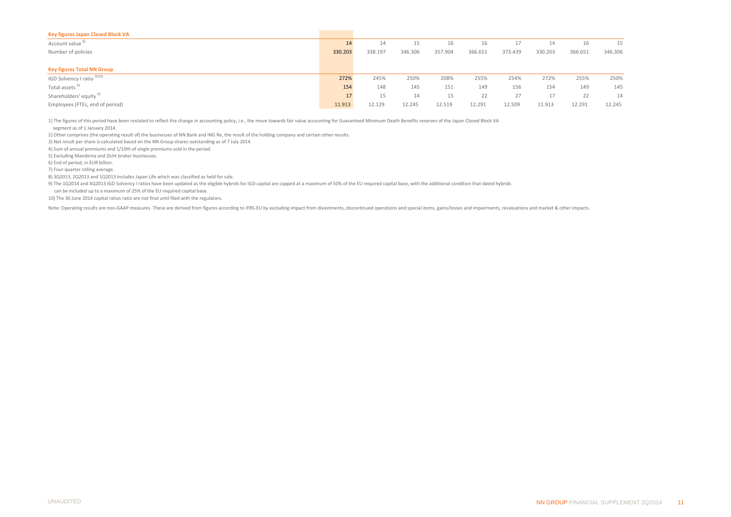| 14      | 14      | 15      | 16      | 16      |         | 14      | 16      | 15      |
|---------|---------|---------|---------|---------|---------|---------|---------|---------|
| 330.203 | 338.197 | 346.306 | 357.904 | 366.651 | 373.439 | 330.203 | 366.651 | 346.306 |
|         |         |         |         |         |         |         |         |         |
|         |         |         |         |         |         |         |         |         |
| 272%    | 245%    | 250%    | 208%    | 255%    | 254%    | 272%    | 255%    | 250%    |
| 154     | 148     | 145     | 151     | 149     | 156     | 154     | 149     | 145     |
|         | 15      | 14      | 15      | 22      | 27      |         | 22      | 14      |
| 11.913  | 12.129  | 12.245  | 12.519  | 12.291  | 12.509  | 11.913  | 12.291  | 12.245  |
|         |         |         |         |         |         |         |         |         |

1) The figures of this period have been restated to reflect the change in accounting policy, i.e., the move towards fair value accounting for Guaranteed Minimum Death Benefits reserves of the Japan Closed Block VA

segment as of 1 January 2014.

2) Other comprises (the operating result of) the businesses of NN Bank and ING Re, the result of the holding company and certain other results.

3) Net result per share is calculated based on the NN Group shares outstanding as of 7 July 2014.

4) Sum of annual premiums and 1/10th of single premiums sold in the period.

5) Excluding Mandema and Zicht broker businesses.

6) End of period, in EUR billion.

7) Four-quarter rolling average.

8) 3Q2013, 2Q2013 and 1Q2013 includes Japan Life which was classified as held for sale.

9) The 1Q2014 and 4Q2013 IGD Solvency I ratios have been updated as the eligible hybrids for IGD capital are capped at a maximum of 50% of the EU required capital base, with the additional condition that dated hybrids

can be included up to a maximum of 25% of the EU required capital base.

10) The 30 June 2014 capital ratios ratio are not final until filed with the regulators.

Note: Operating results are non-GAAP measures. These are derived from figures according to IFRS-EU by excluding impact from divestments, discontinued operations and special items, gains/losses and impairments, revaluations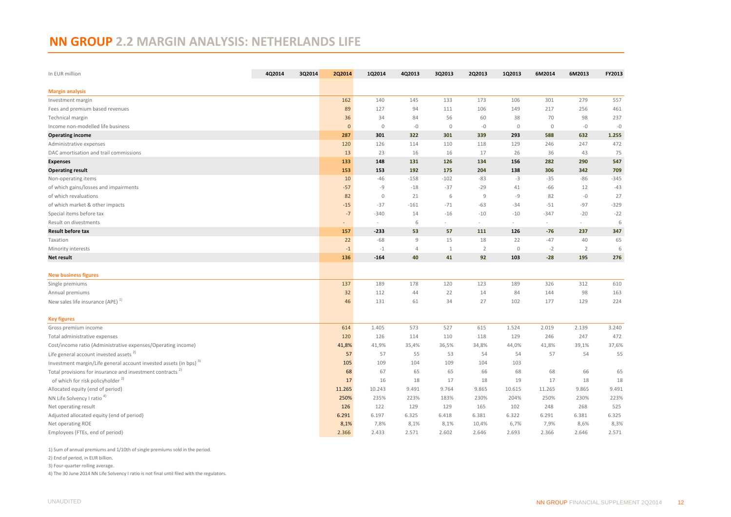# <span id="page-11-0"></span>**NN GROUP 2.2 MARGIN ANALYSIS: NETHERLANDS LIFE**

| 4Q2014<br>In EUR million                                                      | 3Q2014 | <b>2Q2014</b> | 1Q2014      | 4Q2013 | 3Q2013       | 2Q2013         | 1Q2013      | 6M2014  | 6M2013         | FY2013 |
|-------------------------------------------------------------------------------|--------|---------------|-------------|--------|--------------|----------------|-------------|---------|----------------|--------|
| <b>Margin analysis</b>                                                        |        |               |             |        |              |                |             |         |                |        |
| Investment margin                                                             |        | 162           | 140         | 145    | 133          | 173            | 106         | 301     | 279            | 557    |
| Fees and premium based revenues                                               |        | 89            | 127         | 94     | 111          | 106            | 149         | 217     | 256            | 461    |
| Technical margin                                                              |        | 36            | 34          | 84     | 56           | 60             | 38          | 70      | 98             | 237    |
| Income non-modelled life business                                             |        | $\mathbf 0$   | $\circ$     | $-0$   | $\mathbb O$  | $-0$           | $\mathbb O$ | $\circ$ | $-0$           | $-0$   |
| <b>Operating income</b>                                                       |        | 287           | 301         | 322    | 301          | 339            | 293         | 588     | 632            | 1.255  |
| Administrative expenses                                                       |        | 120           | 126         | 114    | 110          | 118            | 129         | 246     | 247            | 472    |
| DAC amortisation and trail commissions                                        |        | 13            | 23          | 16     | 16           | 17             | 26          | 36      | 43             | 75     |
| <b>Expenses</b>                                                               |        | 133           | 148         | 131    | 126          | 134            | 156         | 282     | 290            | 547    |
| <b>Operating result</b>                                                       |        | 153           | 153         | 192    | 175          | 204            | 138         | 306     | 342            | 709    |
| Non-operating items                                                           |        | 10            | $-46$       | $-158$ | $-102$       | $-83$          | $-3$        | $-35$   | $-86$          | $-345$ |
| of which gains/losses and impairments                                         |        | $-57$         | $-9$        | $-18$  | $-37$        | $-29$          | 41          | $-66$   | 12             | $-43$  |
| of which revaluations                                                         |        | 82            | $\mathbf 0$ | 21     | 6            | $\overline{9}$ | -9          | 82      | $-0$           | 27     |
| of which market & other impacts                                               |        | $-15$         | $-37$       | $-161$ | $-71$        | $-63$          | $-34$       | $-51$   | $-97$          | $-329$ |
| Special items before tax                                                      |        | $-7$          | $-340$      | 14     | $-16$        | $-10$          | $-10$       | $-347$  | $-20$          | $-22$  |
| Result on divestments                                                         |        | ٠             | $\sim$      | 6      | $\sim$       | $\sim$         | $\sim$      | $\sim$  | $\omega$       | 6      |
| <b>Result before tax</b>                                                      |        | 157           | $-233$      | 53     | 57           | 111            | 126         | $-76$   | 237            | 347    |
| Taxation                                                                      |        | 22            | $-68$       | 9      | 15           | 18             | 22          | $-47$   | 40             | 65     |
| Minority interests                                                            |        | $-1$          | $-1$        | 4      | $\mathbf{1}$ | $\overline{2}$ | $\mathbb O$ | $-2$    | $\overline{2}$ | 6      |
| Net result                                                                    |        | 136           | $-164$      | 40     | 41           | 92             | 103         | $-28$   | 195            | 276    |
|                                                                               |        |               |             |        |              |                |             |         |                |        |
| <b>New business figures</b>                                                   |        |               |             |        |              |                |             |         |                |        |
| Single premiums                                                               |        | 137           | 189         | 178    | 120          | 123            | 189         | 326     | 312            | 610    |
| Annual premiums                                                               |        | 32            | 112         | 44     | 22           | 14             | 84          | 144     | 98             | 163    |
| New sales life insurance (APE) <sup>1)</sup>                                  |        | 46            | 131         | 61     | 34           | 27             | 102         | 177     | 129            | 224    |
| <b>Key figures</b>                                                            |        |               |             |        |              |                |             |         |                |        |
| Gross premium income                                                          |        | 614           | 1.405       | 573    | 527          | 615            | 1.524       | 2.019   | 2.139          | 3.240  |
| Total administrative expenses                                                 |        | 120           | 126         | 114    | 110          | 118            | 129         | 246     | 247            | 472    |
| Cost/income ratio (Administrative expenses/Operating income)                  |        | 41,8%         | 41,9%       | 35,4%  | 36,5%        | 34,8%          | 44,0%       | 41,8%   | 39,1%          | 37,6%  |
| Life general account invested assets <sup>2)</sup>                            |        | 57            | 57          | 55     | 53           | 54             | 54          | 57      | 54             | 55     |
| Investment margin/Life general account invested assets (in bps) <sup>3)</sup> |        | 105           | 109         | 104    | 109          | 104            | 103         |         |                |        |
| Total provisions for insurance and investment contracts <sup>2</sup>          |        | 68            | 67          | 65     | 65           | 66             | 68          | 68      | 66             | 65     |
| of which for risk policyholder <sup>2)</sup>                                  |        | 17            | 16          | 18     | 17           | 18             | 19          | 17      | 18             | 18     |
| Allocated equity (end of period)                                              |        | 11.265        | 10.243      | 9.491  | 9.764        | 9.865          | 10.615      | 11.265  | 9.865          | 9.491  |
| NN Life Solvency I ratio <sup>4)</sup>                                        |        | 250%          | 235%        | 223%   | 183%         | 230%           | 204%        | 250%    | 230%           | 223%   |
| Net operating result                                                          |        | 126           | 122         | 129    | 129          | 165            | 102         | 248     | 268            | 525    |
| Adjusted allocated equity (end of period)                                     |        | 6.291         | 6.197       | 6.325  | 6.418        | 6.381          | 6.322       | 6.291   | 6.381          | 6.325  |
| Net operating ROE                                                             |        | 8,1%          | 7,8%        | 8,1%   | 8,1%         | 10,4%          | 6,7%        | 7,9%    | 8,6%           | 8,3%   |
| Employees (FTEs, end of period)                                               |        | 2.366         | 2.433       | 2.571  | 2.602        | 2.646          | 2.693       | 2.366   | 2.646          | 2.571  |

1) Sum of annual premiums and 1/10th of single premiums sold in the period.

2) End of period, in EUR billion.

3) Four-quarter rolling average.

4) The 30 June 2014 NN Life Solvency I ratio is not final until filed with the regulators.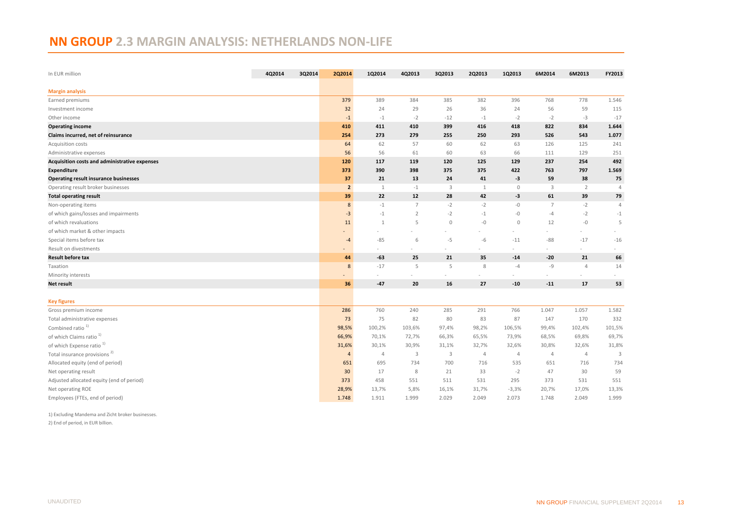# <span id="page-12-0"></span>**NN GROUP 2.3 MARGIN ANALYSIS: NETHERLANDS NON-LIFE**

| In EUR million                                | 4Q2014 | 3Q2014 | 2Q2014         | 1Q2014       | 4Q2013         | 3Q2013       | 2Q2013       | 1Q2013         | 6M2014         | 6M2013                   | FY2013                  |
|-----------------------------------------------|--------|--------|----------------|--------------|----------------|--------------|--------------|----------------|----------------|--------------------------|-------------------------|
| <b>Margin analysis</b>                        |        |        |                |              |                |              |              |                |                |                          |                         |
| Earned premiums                               |        |        | 379            | 389          | 384            | 385          | 382          | 396            | 768            | 778                      | 1.546                   |
| Investment income                             |        |        | 32             | 24           | 29             | 26           | 36           | 24             | 56             | 59                       | 115                     |
| Other income                                  |        |        | $-1$           | $-1$         | $-2$           | $-12$        | $-1$         | $-2$           | $-2$           | $-3$                     | $-17$                   |
| <b>Operating income</b>                       |        |        | 410            | 411          | 410            | 399          | 416          | 418            | 822            | 834                      | 1.644                   |
| Claims incurred, net of reinsurance           |        |        | 254            | 273          | 279            | 255          | 250          | 293            | 526            | 543                      | 1.077                   |
| Acquisition costs                             |        |        | 64             | 62           | 57             | 60           | 62           | 63             | 126            | 125                      | 241                     |
| Administrative expenses                       |        |        | 56             | 56           | 61             | 60           | 63           | 66             | 111            | 129                      | 251                     |
| Acquisition costs and administrative expenses |        |        | 120            | 117          | 119            | 120          | 125          | 129            | 237            | 254                      | 492                     |
| Expenditure                                   |        |        | 373            | 390          | 398            | 375          | 375          | 422            | 763            | 797                      | 1.569                   |
| <b>Operating result insurance businesses</b>  |        |        | 37             | 21           | 13             | 24           | 41           | $-3$           | 59             | 38                       | 75                      |
| Operating result broker businesses            |        |        | $\overline{2}$ | $\mathbf{1}$ | $-1$           | $\mathbf{3}$ | $\mathbf{1}$ | $\mathbb O$    | 3              | $\overline{2}$           | $\overline{4}$          |
| <b>Total operating result</b>                 |        |        | 39             | 22           | 12             | 28           | 42           | $-3$           | 61             | 39                       | 79                      |
| Non-operating items                           |        |        | 8              | $-1$         | $\overline{7}$ | $-2$         | $-2$         | $-{\mathbb O}$ | $\overline{7}$ | $-2$                     | $\overline{4}$          |
| of which gains/losses and impairments         |        |        | $-3$           | $-1$         | $\overline{2}$ | $-2$         | $-1$         | $-0$           | $-4$           | $-2$                     | $-1$                    |
| of which revaluations                         |        |        | 11             | 1            | 5              | $\mathbf 0$  | $-0$         | $\mathbf{0}$   | 12             | $-0$                     | 5                       |
| of which market & other impacts               |        |        |                |              |                |              |              |                |                | $\overline{\phantom{0}}$ |                         |
| Special items before tax                      |        |        | $-4$           | $-85$        | 6              | $-5$         | $-6$         | $-11$          | $-88$          | $-17$                    | $-16$                   |
| Result on divestments                         |        |        |                |              |                |              | ٠            |                | ÷              | ÷.                       |                         |
| <b>Result before tax</b>                      |        |        | 44             | $-63$        | 25             | 21           | 35           | $-14$          | $-20$          | 21                       | 66                      |
| Taxation                                      |        |        | 8              | $-17$        | 5              | 5            | $\,8\,$      | $-4$           | $-9$           | $\Delta$                 | 14                      |
| Minority interests                            |        |        |                |              |                |              |              |                |                |                          |                         |
| <b>Net result</b>                             |        |        | 36             | $-47$        | 20             | 16           | 27           | $-10$          | $-11$          | 17                       | 53                      |
|                                               |        |        |                |              |                |              |              |                |                |                          |                         |
| <b>Key figures</b>                            |        |        |                |              |                |              |              |                |                |                          |                         |
| Gross premium income                          |        |        | 286            | 760          | 240            | 285          | 291          | 766            | 1.047          | 1.057                    | 1.582                   |
| Total administrative expenses                 |        |        | 73             | 75           | 82             | 80           | 83           | 87             | 147            | 170                      | 332                     |
| Combined ratio <sup>1)</sup>                  |        |        | 98,5%          | 100,2%       | 103,6%         | 97,4%        | 98,2%        | 106,5%         | 99,4%          | 102,4%                   | 101,5%                  |
| of which Claims ratio <sup>1)</sup>           |        |        | 66,9%          | 70,1%        | 72,7%          | 66,3%        | 65,5%        | 73,9%          | 68,5%          | 69,8%                    | 69,7%                   |
| of which Expense ratio <sup>1)</sup>          |        |        | 31,6%          | 30,1%        | 30,9%          | 31,1%        | 32,7%        | 32,6%          | 30,8%          | 32,6%                    | 31,8%                   |
| Total insurance provisions <sup>2)</sup>      |        |        | 4              | 4            | 3              | 3            | 4            | 4              | $\overline{4}$ | $\overline{4}$           | $\overline{\mathbf{3}}$ |
| Allocated equity (end of period)              |        |        | 651            | 695          | 734            | 700          | 716          | 535            | 651            | 716                      | 734                     |
| Net operating result                          |        |        | 30             | 17           | 8              | 21           | 33           | $-2$           | 47             | 30                       | 59                      |
| Adjusted allocated equity (end of period)     |        |        | 373            | 458          | 551            | 511          | 531          | 295            | 373            | 531                      | 551                     |
| Net operating ROE                             |        |        | 28,9%          | 13,7%        | 5,8%           | 16,1%        | 31,7%        | $-3,3%$        | 20,7%          | 17,0%                    | 13,3%                   |
| Employees (FTEs, end of period)               |        |        | 1.748          | 1.911        | 1.999          | 2.029        | 2.049        | 2.073          | 1.748          | 2.049                    | 1.999                   |

1) Excluding Mandema and Zicht broker businesses.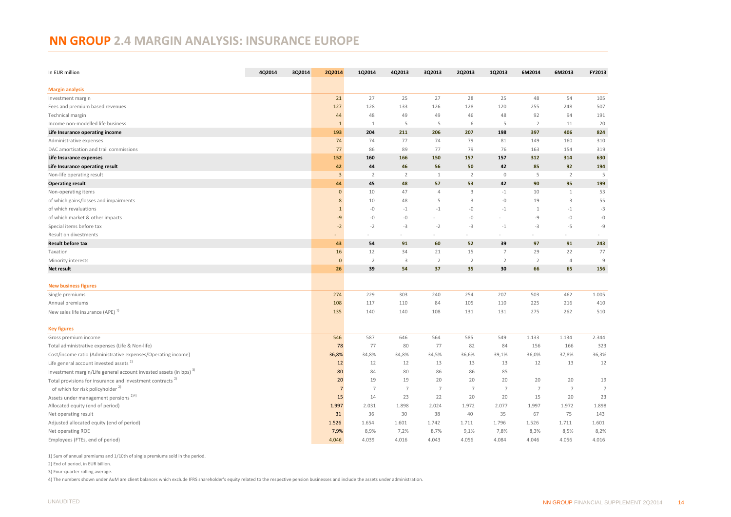# <span id="page-13-0"></span>**NN GROUP 2.4 MARGIN ANALYSIS: INSURANCE EUROPE**

| In EUR million                                                                | 4Q2014 | 3Q2014 | 2Q2014               | 1Q2014         | 4Q2013                  | 3Q2013                   | 2Q2013               | 1Q2013               | 6M2014               | 6M2013               | FY2013               |
|-------------------------------------------------------------------------------|--------|--------|----------------------|----------------|-------------------------|--------------------------|----------------------|----------------------|----------------------|----------------------|----------------------|
| <b>Margin analysis</b>                                                        |        |        |                      |                |                         |                          |                      |                      |                      |                      |                      |
| Investment margin                                                             |        |        | 21                   | 27             | 25                      | 27                       | 28                   | 25                   | 48                   | 54                   | 105                  |
| Fees and premium based revenues                                               |        |        | 127                  | 128            | 133                     | 126                      | 128                  | 120                  | 255                  | 248                  | 507                  |
| Technical margin                                                              |        |        | 44                   | 48             | 49                      | 49                       | 46                   | 48                   | 92                   | 94                   | 191                  |
| Income non-modelled life business                                             |        |        | $\mathbf{1}$         | $\mathbf{1}$   | 5                       | 5                        | 6                    | 5                    | $\overline{2}$       | 11                   | 20                   |
| Life Insurance operating income                                               |        |        | 193                  | 204            | 211                     | 206                      | 207                  | 198                  | 397                  | 406                  | 824                  |
| Administrative expenses                                                       |        |        | 74                   | 74             | 77                      | 74                       | 79                   | 81                   | 149                  | 160                  | 310                  |
| DAC amortisation and trail commissions                                        |        |        | 77                   | 86             | 89                      | 77                       | 79                   | 76                   | 163                  | 154                  | 319                  |
| Life Insurance expenses                                                       |        |        | 152                  | 160            | 166                     | 150                      | 157                  | 157                  | 312                  | 314                  | 630                  |
| Life Insurance operating result                                               |        |        | 42                   | 44             | 46                      | 56                       | 50                   | 42                   | 85                   | 92                   | 194                  |
| Non-life operating result                                                     |        |        | $\overline{3}$       | $\overline{2}$ | $\overline{2}$          | 1                        | $\overline{2}$       | $\mathbb O$          | 5                    | $\overline{2}$       | 5                    |
| <b>Operating result</b>                                                       |        |        | 44                   | 45             | 48                      | 57                       | 53                   | 42                   | 90                   | 95                   | 199                  |
| Non-operating items                                                           |        |        | $\bf{0}$             | 10             | 47                      | $\overline{4}$           | $\overline{3}$       | $-1$                 | 10                   | $\mathbf{1}$         | 53                   |
| of which gains/losses and impairments                                         |        |        | 8                    | 10             | 48                      | 5                        | 3                    | $-0$                 | 19                   | $\overline{3}$       | 55                   |
| of which revaluations                                                         |        |        | $\overline{1}$       | $-0$           | $-1$                    | $-1$                     | $-{\mathbb O}$       | $-1$                 | $\mathbf{1}$         | $-1$                 | $-3$                 |
| of which market & other impacts                                               |        |        | $-9$                 | $-0$           | $-0$                    | ٠                        | $-0$                 |                      | -9                   | $-0$                 | $-0$                 |
| Special items before tax                                                      |        |        | $-2$                 | $-2$           | $-3$                    | $-2$                     | $-3$                 | $-1$                 | $-3$                 | $-5$                 | $-9$                 |
| Result on divestments                                                         |        |        |                      |                |                         | $\overline{\phantom{a}}$ |                      | $\sim$               |                      | $\sim$               |                      |
| <b>Result before tax</b>                                                      |        |        | 43                   | 54             | 91                      | 60                       | 52                   | 39                   | 97                   | 91                   | 243                  |
| Taxation                                                                      |        |        | 16                   | 12             | 34                      | 21                       | 15                   | $\overline{7}$       | 29                   | 22                   | 77                   |
| Minority interests                                                            |        |        | $\mathbf{0}$         | $\overline{2}$ | $\overline{\mathbf{3}}$ | $\overline{2}$           | $\overline{2}$       | $\overline{2}$       | 2                    | $\overline{4}$       | $\overline{9}$       |
| Net result                                                                    |        |        | 26                   | 39             | 54                      | 37                       | 35                   | 30                   | 66                   | 65                   | 156                  |
| <b>New business figures</b>                                                   |        |        |                      |                |                         |                          |                      |                      |                      |                      |                      |
| Single premiums                                                               |        |        | 274                  | 229            | 303                     | 240                      | 254                  | 207                  | 503                  | 462                  | 1.005                |
| Annual premiums                                                               |        |        | 108                  | 117            | 110                     | 84                       | 105                  | 110                  | 225                  | 216                  | 410                  |
| New sales life insurance $(APE)^{1}$                                          |        |        | 135                  | 140            | 140                     | 108                      | 131                  | 131                  | 275                  | 262                  | 510                  |
|                                                                               |        |        |                      |                |                         |                          |                      |                      |                      |                      |                      |
| <b>Key figures</b>                                                            |        |        |                      |                |                         |                          |                      |                      |                      |                      |                      |
| Gross premium income                                                          |        |        | 546                  | 587            | 646                     | 564                      | 585                  | 549                  | 1.133                | 1.134                | 2.344                |
| Total administrative expenses (Life & Non-life)                               |        |        | 78                   | 77             | 80                      | 77                       | 82                   | 84                   | 156                  | 166                  | 323                  |
| Cost/income ratio (Administrative expenses/Operating income)                  |        |        | 36,8%                | 34,8%          | 34,8%                   | 34,5%                    | 36,6%                | 39,1%                | 36,0%                | 37,8%                | 36,3%                |
| Life general account invested assets $^{2}$                                   |        |        | 12                   | 12             | 12                      | 13                       | 13                   | 13                   | 12                   | 13                   | 12                   |
| Investment margin/Life general account invested assets (in bps) <sup>3)</sup> |        |        | 80                   | 84<br>19       | 80<br>19                | 86                       | 86                   | 85                   |                      |                      |                      |
| Total provisions for insurance and investment contracts <sup>2)</sup>         |        |        | 20<br>$\overline{7}$ | $\overline{7}$ | $\overline{7}$          | 20<br>$\overline{7}$     | 20<br>$\overline{7}$ | 20<br>$\overline{7}$ | 20<br>$\overline{7}$ | 20<br>$\overline{7}$ | 19<br>$\overline{7}$ |
| of which for risk policyholder <sup>2)</sup>                                  |        |        |                      |                |                         |                          |                      |                      |                      |                      |                      |
| Assets under management pensions <sup>2)4)</sup>                              |        |        | 15                   | 14             | 23                      | 22                       | 20                   | 20                   | 15                   | 20                   | 23                   |
| Allocated equity (end of period)                                              |        |        | 1.997                | 2.031          | 1.898                   | 2.024                    | 1.972<br>40          | 2.077                | 1.997                | 1.972<br>75          | 1.898<br>143         |
| Net operating result                                                          |        |        | 31                   | 36             | 30                      | 38                       |                      | 35                   | 67                   |                      |                      |
| Adjusted allocated equity (end of period)                                     |        |        | 1.526                | 1.654          | 1.601                   | 1.742                    | 1.711                | 1.796                | 1.526                | 1.711                | 1.601                |
| Net operating ROE                                                             |        |        | 7,9%                 | 8,9%           | 7,2%                    | 8,7%                     | 9,1%                 | 7,8%                 | 8,3%                 | 8,5%                 | 8,2%                 |
| Employees (FTEs, end of period)                                               |        |        | 4.046                | 4.039          | 4.016                   | 4.043                    | 4.056                | 4.084                | 4.046                | 4.056                | 4.016                |

1) Sum of annual premiums and 1/10th of single premiums sold in the period.

2) End of period, in EUR billion.

3) Four-quarter rolling average.

4) The numbers shown under AuM are client balances which exclude IFRS shareholder's equity related to the respective pension businesses and include the assets under administration.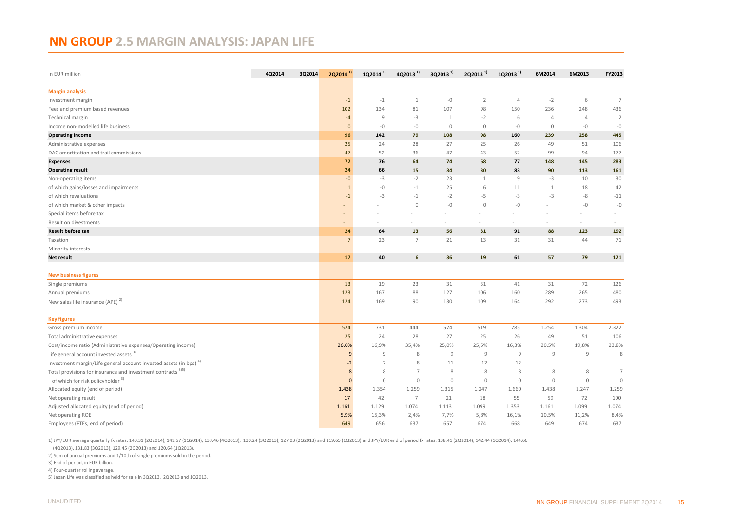#### <span id="page-14-0"></span>**NN GROUP 2.5 MARGIN ANALYSIS: JAPAN LIFE**

| In EUR million                                                                | 4Q2014 | 3Q2014 | $2Q2014^{11}$  | 1Q2014 <sup>1)</sup> | 4Q2013 <sup>1)</sup> | 3Q2013 <sup>1)</sup> | 2Q2013 <sup>1)</sup> | 1Q2013 <sup>1)</sup> | 6M2014         | 6M2013         | FY2013         |
|-------------------------------------------------------------------------------|--------|--------|----------------|----------------------|----------------------|----------------------|----------------------|----------------------|----------------|----------------|----------------|
| <b>Margin analysis</b>                                                        |        |        |                |                      |                      |                      |                      |                      |                |                |                |
| Investment margin                                                             |        |        | $-1$           | $-1$                 | 1                    | $-0$                 | $\overline{2}$       | $\overline{4}$       | $-2$           | 6              | $7^{\circ}$    |
| Fees and premium based revenues                                               |        |        | 102            | 134                  | 81                   | 107                  | 98                   | 150                  | 236            | 248            | 436            |
| Technical margin                                                              |        |        | $-4$           | $\overline{9}$       | $-3$                 | $\mathbf{1}$         | $-2$                 | 6                    | $\overline{4}$ | $\overline{4}$ | $\overline{2}$ |
| Income non-modelled life business                                             |        |        | $\mathbf{0}$   | $-0$                 | $-0$                 | $\mathbf 0$          | $\circ$              | $-0$                 | $\mathbf 0$    | $-0$           | $-0$           |
| <b>Operating income</b>                                                       |        |        | 96             | 142                  | 79                   | 108                  | 98                   | 160                  | 239            | 258            | 445            |
| Administrative expenses                                                       |        |        | 25             | 24                   | 28                   | 27                   | 25                   | 26                   | 49             | 51             | 106            |
| DAC amortisation and trail commissions                                        |        |        | 47             | 52                   | 36                   | 47                   | 43                   | 52                   | 99             | 94             | 177            |
| <b>Expenses</b>                                                               |        |        | 72             | 76                   | 64                   | 74                   | 68                   | 77                   | 148            | 145            | 283            |
| <b>Operating result</b>                                                       |        |        | 24             | 66                   | 15                   | 34                   | 30                   | 83                   | 90             | 113            | 161            |
| Non-operating items                                                           |        |        | $-0$           | $-3$                 | $-2$                 | 23                   | $\mathbf{1}$         | 9                    | $-3$           | 10             | 30             |
| of which gains/losses and impairments                                         |        |        | $\mathbf{1}$   | $-0$                 | $-1$                 | 25                   | 6                    | 11                   | $\mathbf{1}$   | 18             | 42             |
| of which revaluations                                                         |        |        | $-1$           | $-3$                 | $-1$                 | $-2$                 | $-5$                 | $-3$                 | $-3$           | $-8$           | $-11$          |
| of which market & other impacts                                               |        |        |                |                      | $\mathbf 0$          | $-{\mathbb O}$       | $\mathbf 0$          | $-0$                 |                | $-0$           | $-{\mathbb O}$ |
| Special items before tax                                                      |        |        |                |                      |                      |                      |                      |                      |                |                |                |
| Result on divestments                                                         |        |        |                |                      |                      |                      |                      |                      |                | $\sim$         |                |
| <b>Result before tax</b>                                                      |        |        | 24             | 64                   | 13                   | 56                   | 31                   | 91                   | 88             | 123            | 192            |
| Taxation                                                                      |        |        | $\overline{7}$ | 23                   | $\overline{7}$       | 21                   | 13                   | 31                   | 31             | 44             | 71             |
| Minority interests                                                            |        |        |                |                      |                      |                      |                      |                      |                | i,             |                |
| <b>Net result</b>                                                             |        |        | 17             | 40                   | 6                    | 36                   | 19                   | 61                   | 57             | 79             | 121            |
| <b>New business figures</b>                                                   |        |        |                |                      |                      |                      |                      |                      |                |                |                |
| Single premiums                                                               |        |        | 13             | 19                   | 23                   | 31                   | 31                   | 41                   | 31             | 72             | 126            |
| Annual premiums                                                               |        |        | 123            | 167                  | 88                   | 127                  | 106                  | 160                  | 289            | 265            | 480            |
| New sales life insurance (APE) <sup>2)</sup>                                  |        |        | 124            | 169                  | 90                   | 130                  | 109                  | 164                  | 292            | 273            | 493            |
| <b>Key figures</b>                                                            |        |        |                |                      |                      |                      |                      |                      |                |                |                |
| Gross premium income                                                          |        |        | 524            | 731                  | 444                  | 574                  | 519                  | 785                  | 1.254          | 1.304          | 2.322          |
| Total administrative expenses                                                 |        |        | 25             | 24                   | 28                   | 27                   | 25                   | 26                   | 49             | 51             | 106            |
| Cost/income ratio (Administrative expenses/Operating income)                  |        |        | 26,0%          | 16,9%                | 35,4%                | 25,0%                | 25,5%                | 16,3%                | 20,5%          | 19,8%          | 23,8%          |
| Life general account invested assets <sup>3)</sup>                            |        |        | 9              | 9                    | 8                    | $\overline{9}$       | $\overline{9}$       | 9                    | 9              | $\mathsf g$    | 8              |
| Investment margin/Life general account invested assets (in bps) <sup>4)</sup> |        |        | $-2$           | 2                    | 8                    | 11                   | 12                   | 12                   |                |                |                |
| Total provisions for insurance and investment contracts <sup>3)5)</sup>       |        |        | 8              | 8                    | $\overline{7}$       | 8                    | 8                    | 8                    | 8              | 8              | $\overline{7}$ |
| of which for risk policyholder <sup>3)</sup>                                  |        |        | $\Omega$       | $\mathbf{0}$         | $\mathbb O$          | $\mathbb O$          | $\mathbb O$          | $\circ$              | $\mathbb O$    | $\mathbb O$    | $\mathbf{0}$   |
| Allocated equity (end of period)                                              |        |        | 1.438          | 1.354                | 1.259                | 1.315                | 1.247                | 1.660                | 1.438          | 1.247          | 1.259          |
| Net operating result                                                          |        |        | 17             | 42                   | 7                    | 21                   | 18                   | 55                   | 59             | 72             | 100            |
| Adjusted allocated equity (end of period)                                     |        |        | 1.161          | 1.129                | 1.074                | 1.113                | 1.099                | 1.353                | 1.161          | 1.099          | 1.074          |
| Net operating ROE                                                             |        |        | 5,9%           | 15,3%                | 2,4%                 | 7,7%                 | 5,8%                 | 16,1%                | 10,5%          | 11,2%          | 8,4%           |
| Employees (FTEs, end of period)                                               |        |        | 649            | 656                  | 637                  | 657                  | 674                  | 668                  | 649            | 674            | 637            |

1) JPY/EUR average quarterly fx rates: 140.31 (2Q2014), 141.57 (1Q2014), 137.46 (4Q2013), 130.24 (3Q2013), 127.03 (2Q2013) and 119.65 (1Q2013) and JPY/EUR end of period fx rates: 138.41 (2Q2014), 142.44 (1Q2014), 144.66

(4Q2013), 131.83 (3Q2013), 129.45 (2Q2013) and 120.64 (1Q2013).

2) Sum of annual premiums and 1/10th of single premiums sold in the period.

3) End of period, in EUR billion.

4) Four-quarter rolling average.

5) Japan Life was classified as held for sale in 3Q2013, 2Q2013 and 1Q2013.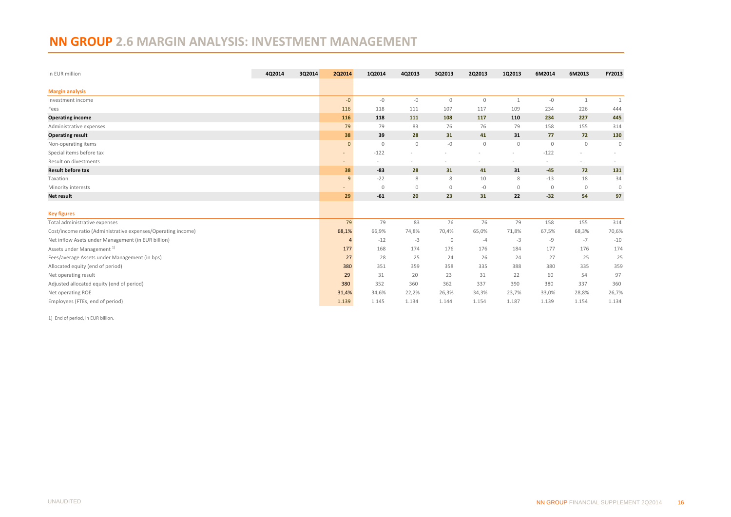# <span id="page-15-0"></span>**NN GROUP 2.6 MARGIN ANALYSIS: INVESTMENT MANAGEMENT**

| In EUR million                                               | 4Q2014 | 3Q2014 | 2Q2014         | 1Q2014       | 4Q2013       | 3Q2013      | 2Q2013      | 1Q2013       | 6M2014                   | 6M2013         | FY2013       |
|--------------------------------------------------------------|--------|--------|----------------|--------------|--------------|-------------|-------------|--------------|--------------------------|----------------|--------------|
|                                                              |        |        |                |              |              |             |             |              |                          |                |              |
| <b>Margin analysis</b>                                       |        |        |                |              |              |             |             |              |                          |                |              |
| Investment income                                            |        |        | $-0$           | $-0$         | $-0$         | $\circ$     | $\mathbf 0$ | $\mathbf{1}$ | $-0$                     | 1              | $\mathbf{1}$ |
| Fees                                                         |        |        | 116            | 118          | 111          | 107         | 117         | 109          | 234                      | 226            | 444          |
| <b>Operating income</b>                                      |        |        | 116            | 118          | 111          | 108         | 117         | 110          | 234                      | 227            | 445          |
| Administrative expenses                                      |        |        | 79             | 79           | 83           | 76          | 76          | 79           | 158                      | 155            | 314          |
| <b>Operating result</b>                                      |        |        | 38             | 39           | 28           | 31          | 41          | 31           | 77                       | 72             | 130          |
| Non-operating items                                          |        |        | $\mathbf{0}$   | $\mathbf 0$  | $\mathbf 0$  | $-0$        | $\mathbb O$ | $\circ$      | $\mathbf 0$              | $\mathbf 0$    | $\mathbf 0$  |
| Special items before tax                                     |        |        | ۰.             | $-122$       |              |             |             |              | $-122$                   |                |              |
| Result on divestments                                        |        |        | ٠              |              |              |             | -           |              | $\overline{\phantom{m}}$ |                |              |
| <b>Result before tax</b>                                     |        |        | 38             | $-83$        | 28           | 31          | 41          | 31           | $-45$                    | 72             | 131          |
| Taxation                                                     |        |        | 9              | $-22$        | 8            | 8           | 10          | 8            | $-13$                    | 18             | 34           |
| Minority interests                                           |        |        |                | $\mathbf{0}$ | $\mathbf{0}$ | $\circ$     | $-0$        | $\mathbf{0}$ | $\overline{0}$           | $\overline{0}$ | $\mathbf{0}$ |
| Net result                                                   |        |        | 29             | $-61$        | 20           | 23          | 31          | 22           | $-32$                    | 54             | 97           |
|                                                              |        |        |                |              |              |             |             |              |                          |                |              |
| <b>Key figures</b>                                           |        |        |                |              |              |             |             |              |                          |                |              |
| Total administrative expenses                                |        |        | 79             | 79           | 83           | 76          | 76          | 79           | 158                      | 155            | 314          |
| Cost/income ratio (Administrative expenses/Operating income) |        |        | 68,1%          | 66,9%        | 74,8%        | 70,4%       | 65,0%       | 71,8%        | 67,5%                    | 68,3%          | 70,6%        |
| Net inflow Asets under Management (in EUR billion)           |        |        | $\overline{4}$ | $-12$        | $-3$         | $\mathbf 0$ | $-4$        | $-3$         | -9                       | $-7$           | $-10$        |
| Assets under Management <sup>1)</sup>                        |        |        | 177            | 168          | 174          | 176         | 176         | 184          | 177                      | 176            | 174          |
| Fees/average Assets under Management (in bps)                |        |        | 27             | 28           | 25           | 24          | 26          | 24           | 27                       | 25             | 25           |
| Allocated equity (end of period)                             |        |        | 380            | 351          | 359          | 358         | 335         | 388          | 380                      | 335            | 359          |
| Net operating result                                         |        |        | 29             | 31           | 20           | 23          | 31          | 22           | 60                       | 54             | 97           |
| Adjusted allocated equity (end of period)                    |        |        | 380            | 352          | 360          | 362         | 337         | 390          | 380                      | 337            | 360          |
| Net operating ROE                                            |        |        | 31,4%          | 34,6%        | 22,2%        | 26,3%       | 34,3%       | 23,7%        | 33,0%                    | 28,8%          | 26,7%        |
| Employees (FTEs, end of period)                              |        |        | 1.139          | 1.145        | 1.134        | 1.144       | 1.154       | 1.187        | 1.139                    | 1.154          | 1.134        |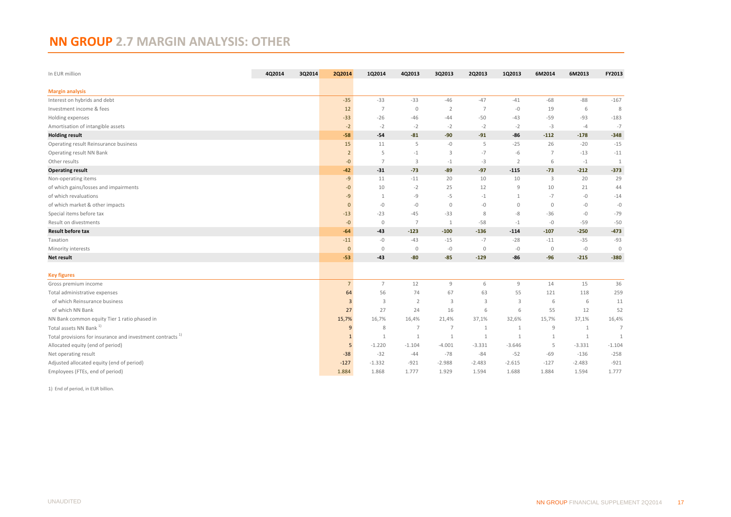# <span id="page-16-0"></span>**NN GROUP 2.7 MARGIN ANALYSIS: OTHER**

| In EUR million                                                        | 4Q2014 | 3Q2014 | 2Q2014                  | 1Q2014         | 4Q2013         | 3Q2013         | 2Q2013         | 1Q2013         | 6M2014         | 6M2013       | FY2013         |
|-----------------------------------------------------------------------|--------|--------|-------------------------|----------------|----------------|----------------|----------------|----------------|----------------|--------------|----------------|
| <b>Margin analysis</b>                                                |        |        |                         |                |                |                |                |                |                |              |                |
| Interest on hybrids and debt                                          |        |        | $-35$                   | $-33$          | $-33$          | $-46$          | $-47$          | $-41$          | $-68$          | $-88$        | $-167$         |
| Investment income & fees                                              |        |        | 12                      | 7              | $\overline{0}$ | 2              | $\overline{7}$ | $-0$           | 19             | 6            | 8              |
| Holding expenses                                                      |        |        | $-33$                   | $-26$          | -46            | $-44$          | $-50$          | $-43$          | $-59$          | $-93$        | $-183$         |
| Amortisation of intangible assets                                     |        |        | $-2$                    | $-2$           | $-2$           | $-2$           | $-2$           | $-2$           | $-3$           | $-4$         | $-7$           |
| <b>Holding result</b>                                                 |        |        | $-58$                   | $-54$          | $-81$          | $-90$          | $-91$          | $-86$          | $-112$         | $-178$       | $-348$         |
| Operating result Reinsurance business                                 |        |        | 15                      | 11             | 5              | -0             | 5              | $-25$          | 26             | $-20$        | $-15$          |
| Operating result NN Bank                                              |        |        | $\overline{2}$          | 5              | $-1$           | 3              | $-7$           | $-6$           | 7              | $-13$        | $-11$          |
| Other results                                                         |        |        | $-0$                    | $\overline{7}$ | 3              | $-1$           | $-3$           | $\overline{2}$ | 6              | $-1$         | $\mathbf{1}$   |
| <b>Operating result</b>                                               |        |        | $-42$                   | $-31$          | $-73$          | $-89$          | $-97$          | $-115$         | $-73$          | $-212$       | $-373$         |
| Non-operating items                                                   |        |        | $-9$                    | 11             | $-11$          | 20             | 10             | 10             | 3              | 20           | 29             |
| of which gains/losses and impairments                                 |        |        | $-0$                    | 10             | $-2$           | 25             | 12             | 9              | 10             | 21           | 44             |
| of which revaluations                                                 |        |        | $-9$                    | -1             | $-9$           | $-5$           | $-1$           | $\mathbf{1}$   | $-7$           | $-0$         | $-14$          |
| of which market & other impacts                                       |        |        | $\mathbf{0}$            | $-0$           | $-0$           | $\circ$        | $-0$           | $\mathbf 0$    | $\mathbf{0}$   | $-0$         | $-0$           |
| Special items before tax                                              |        |        | $-13$                   | $-23$          | $-45$          | $-33$          | 8              | -8             | $-36$          | $-0$         | $-79$          |
| Result on divestments                                                 |        |        | $-0$                    | $\circ$        | $\overline{7}$ | $\mathbf{1}$   | $-58$          | $-1$           | $-0$           | $-59$        | $-50$          |
| <b>Result before tax</b>                                              |        |        | $-64$                   | $-43$          | $-123$         | $-100$         | $-136$         | $-114$         | $-107$         | $-250$       | $-473$         |
| Taxation                                                              |        |        | $-11$                   | $-0$           | $-43$          | $-15$          | $-7$           | $-28$          | $-11$          | $-35$        | $-93$          |
| Minority interests                                                    |        |        | $\mathbf{0}$            | $\mathbb O$    | $\circ$        | $-0$           | $\circ$        | $-0$           | $\overline{0}$ | $-0$         | $\mathbb O$    |
| Net result                                                            |        |        | $-53$                   | $-43$          | $-80$          | $-85$          | $-129$         | -86            | $-96$          | $-215$       | $-380$         |
| <b>Key figures</b>                                                    |        |        |                         |                |                |                |                |                |                |              |                |
| Gross premium income                                                  |        |        | 7 <sup>1</sup>          | $\overline{7}$ | 12             | $\overline{9}$ | 6              | 9              | 14             | 15           | 36             |
| Total administrative expenses                                         |        |        | 64                      | 56             | 74             | 67             | 63             | 55             | 121            | 118          | 259            |
| of which Reinsurance business                                         |        |        | $\overline{\mathbf{3}}$ | 3              | $\overline{2}$ | 3              | $\overline{3}$ | 3              | 6              | 6            | 11             |
| of which NN Bank                                                      |        |        | 27                      | 27             | 24             | 16             | 6              | 6              | 55             | 12           | 52             |
| NN Bank common equity Tier 1 ratio phased in                          |        |        | 15,7%                   | 16,7%          | 16,4%          | 21,4%          | 37,1%          | 32,6%          | 15,7%          | 37,1%        | 16,4%          |
| Total assets NN Bank <sup>1)</sup>                                    |        |        | 9                       | 8              | 7              | $\overline{7}$ | 1              | $\mathbf{1}$   | 9              | $\mathbf{1}$ | $\overline{7}$ |
| Total provisions for insurance and investment contracts <sup>1)</sup> |        |        | $\mathbf{1}$            | $\mathbf{1}$   | 1              | 1              | 1              | $\mathbf{1}$   | $\mathbf{1}$   | 1            | $\overline{1}$ |
| Allocated equity (end of period)                                      |        |        | 5                       | $-1.220$       | $-1.104$       | $-4.001$       | $-3.331$       | $-3.646$       | 5              | $-3.331$     | $-1.104$       |
| Net operating result                                                  |        |        | $-38$                   | $-32$          | $-44$          | $-78$          | $-84$          | $-52$          | $-69$          | $-136$       | $-258$         |
| Adjusted allocated equity (end of period)                             |        |        | $-127$                  | $-1.332$       | $-921$         | $-2.988$       | $-2.483$       | $-2.615$       | $-127$         | $-2.483$     | $-921$         |
| Employees (FTEs, end of period)                                       |        |        | 1.884                   | 1.868          | 1.777          | 1.929          | 1.594          | 1.688          | 1.884          | 1.594        | 1.777          |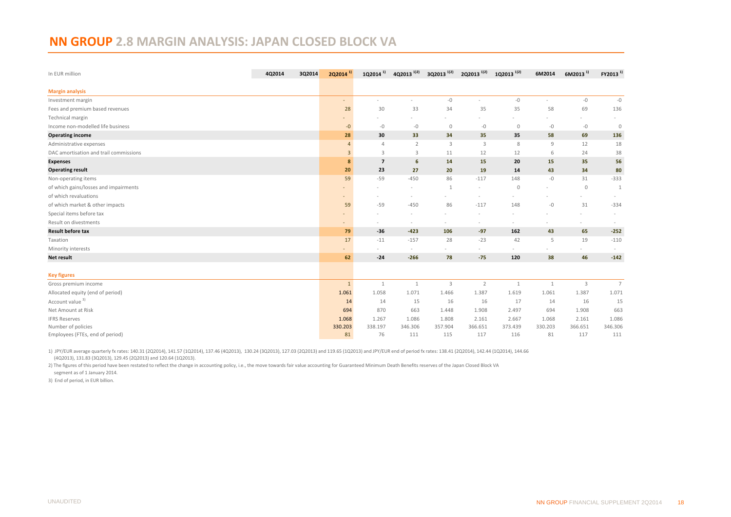#### <span id="page-17-0"></span>**NN GROUP 2.8 MARGIN ANALYSIS: JAPAN CLOSED BLOCK VA**

| In EUR million                         | 4Q2014 | 3Q2014 | $2Q2014^{1}$   | 1Q2014 <sup>1)</sup>     | 4Q2013 <sup>1)2)</sup> | 3Q2013 <sup>1)2)</sup>   | 2Q2013 <sup>1)2)</sup> | 1Q2013 <sup>1)2)</sup>   | 6M2014       | $6M2013$ <sup>1)</sup> | FY2013 <sup>1)</sup> |
|----------------------------------------|--------|--------|----------------|--------------------------|------------------------|--------------------------|------------------------|--------------------------|--------------|------------------------|----------------------|
| <b>Margin analysis</b>                 |        |        |                |                          |                        |                          |                        |                          |              |                        |                      |
| Investment margin                      |        |        | $\sim$         | $\overline{\phantom{a}}$ | $\sim$                 | $-{\mathbb O}$           |                        | $-0$                     |              | $-0$                   | $-{\mathbb O}$       |
| Fees and premium based revenues        |        |        | 28             | 30                       | 33                     | 34                       | 35                     | 35                       | 58           | 69                     | 136                  |
| Technical margin                       |        |        |                |                          |                        |                          |                        |                          |              |                        |                      |
| Income non-modelled life business      |        |        | $-0$           | $-0$                     | $-0$                   | $\circ$                  | $-0$                   | $\circ$                  | $-0$         | $-0$                   | $\circ$              |
| <b>Operating income</b>                |        |        | 28             | 30                       | 33                     | 34                       | 35                     | 35                       | 58           | 69                     | 136                  |
| Administrative expenses                |        |        | 4              | $\overline{4}$           | $\overline{2}$         | 3                        | 3                      | 8                        | 9            | 12                     | 18                   |
| DAC amortisation and trail commissions |        |        | $\overline{3}$ | 3                        | 3                      | 11                       | 12                     | 12                       | 6            | 24                     | 38                   |
| <b>Expenses</b>                        |        |        | 8              | $\overline{7}$           | 6                      | 14                       | 15                     | 20                       | 15           | 35                     | 56                   |
| <b>Operating result</b>                |        |        | 20             | 23                       | 27                     | 20                       | 19                     | 14                       | 43           | 34                     | 80                   |
| Non-operating items                    |        |        | 59             | $-59$                    | $-450$                 | 86                       | $-117$                 | 148                      | $-0$         | 31                     | $-333$               |
| of which gains/losses and impairments  |        |        |                |                          |                        | 1                        |                        | $\circ$                  |              | $\circ$                | 1                    |
| of which revaluations                  |        |        |                |                          |                        |                          |                        |                          |              |                        |                      |
| of which market & other impacts        |        |        | 59             | $-59$                    | $-450$                 | 86                       | $-117$                 | 148                      | $-0$         | 31                     | $-334$               |
| Special items before tax               |        |        |                |                          |                        |                          |                        |                          |              |                        |                      |
| Result on divestments                  |        |        |                |                          | $\sim$                 | $\overline{\phantom{a}}$ |                        | ٠                        |              | $\sim$                 |                      |
| <b>Result before tax</b>               |        |        | 79             | $-36$                    | $-423$                 | 106                      | $-97$                  | 162                      | 43           | 65                     | $-252$               |
| Taxation                               |        |        | 17             | $-11$                    | $-157$                 | 28                       | $-23$                  | 42                       | 5            | 19                     | $-110$               |
| Minority interests                     |        |        |                |                          | $\sim$                 |                          | $\sim$                 | $\overline{\phantom{a}}$ |              |                        |                      |
| <b>Net result</b>                      |        |        | 62             | $-24$                    | $-266$                 | 78                       | $-75$                  | 120                      | 38           | 46                     | $-142$               |
|                                        |        |        |                |                          |                        |                          |                        |                          |              |                        |                      |
| <b>Key figures</b>                     |        |        |                |                          |                        |                          |                        |                          |              |                        |                      |
| Gross premium income                   |        |        | $\mathbf{1}$   | $\mathbf{1}$             | 1                      | $\mathbf{3}$             | $\overline{2}$         | $\mathbf{1}$             | $\mathbf{1}$ | $\overline{3}$         | $7\overline{ }$      |
| Allocated equity (end of period)       |        |        | 1.061          | 1.058                    | 1.071                  | 1.466                    | 1.387                  | 1.619                    | 1.061        | 1.387                  | 1.071                |
| Account value <sup>3)</sup>            |        |        | 14             | 14                       | 15                     | 16                       | 16                     | 17                       | 14           | 16                     | 15                   |
| Net Amount at Risk                     |        |        | 694            | 870                      | 663                    | 1.448                    | 1.908                  | 2.497                    | 694          | 1.908                  | 663                  |
| <b>IFRS Reserves</b>                   |        |        | 1.068          | 1.267                    | 1.086                  | 1.808                    | 2.161                  | 2.667                    | 1.068        | 2.161                  | 1.086                |
| Number of policies                     |        |        | 330.203        | 338.197                  | 346.306                | 357.904                  | 366.651                | 373.439                  | 330.203      | 366.651                | 346.306              |
| Employees (FTEs, end of period)        |        |        | 81             | 76                       | 111                    | 115                      | 117                    | 116                      | 81           | 117                    | 111                  |

1) JPY/EUR average quarterly fx rates: 140.31 (2Q2014), 141.57 (1Q2014), 137.46 (4Q2013), 130.24 (3Q2013), 127.03 (2Q2013) and 119.65 (1Q2013) and JPY/EUR end of period fx rates: 138.41 (2Q2014), 142.44 (1Q2014), 144.66 (4Q2013), 131.83 (3Q2013), 129.45 (2Q2013) and 120.64 (1Q2013).

2) The figures of this period have been restated to reflect the change in accounting policy, i.e., the move towards fair value accounting for Guaranteed Minimum Death Benefits reserves of the Japan Closed Block VA segment as of 1 January 2014.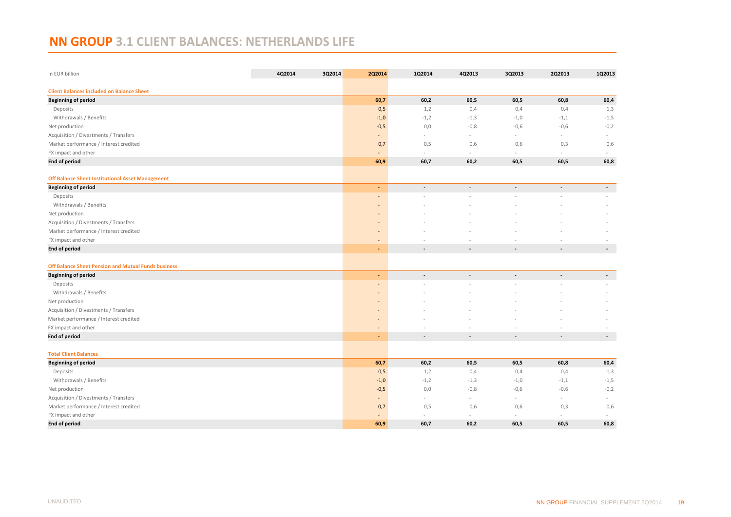# <span id="page-18-0"></span>**NN GROUP 3.1 CLIENT BALANCES: NETHERLANDS LIFE**

| In EUR billion                                          | 4Q2014 | 3Q2014 | <b>2Q2014</b>            | 1Q2014                   | 4Q2013                   | 3Q2013         | 2Q2013                   | 1Q2013                   |
|---------------------------------------------------------|--------|--------|--------------------------|--------------------------|--------------------------|----------------|--------------------------|--------------------------|
| <b>Client Balances included on Balance Sheet</b>        |        |        |                          |                          |                          |                |                          |                          |
| <b>Beginning of period</b>                              |        |        | 60,7                     | 60,2                     | 60,5                     | 60,5           | 60,8                     | 60,4                     |
| Deposits                                                |        |        | 0,5                      | 1,2                      | 0,4                      | 0,4            | 0,4                      | 1,3                      |
| Withdrawals / Benefits                                  |        |        | $-1,0$                   | $-1,2$                   | $-1,3$                   | $-1,0$         | $-1,1$                   | $-1,5$                   |
| Net production                                          |        |        | $-0,5$                   | 0,0                      | $-0,8$                   | $-0,6$         | $-0,6$                   | $-0,2$                   |
| Acquisition / Divestments / Transfers                   |        |        | $\overline{\phantom{a}}$ | $\sim$                   | $\sim$                   | $\sim$         | $\bar{a}$                | $\sim$                   |
| Market performance / Interest credited                  |        |        | 0,7                      | 0,5                      | 0,6                      | 0,6            | 0,3                      | 0,6                      |
| FX impact and other                                     |        |        |                          | $\sim$                   | $\sim$                   | $\omega$       | ä,                       |                          |
| <b>End of period</b>                                    |        |        | 60,9                     | 60,7                     | 60,2                     | 60,5           | 60,5                     | 60,8                     |
| <b>Off Balance Sheet Institutional Asset Management</b> |        |        |                          |                          |                          |                |                          |                          |
| <b>Beginning of period</b>                              |        |        | ÷                        | $\blacksquare$           | $\overline{\phantom{a}}$ | $\blacksquare$ | $\blacksquare$           | $\blacksquare$           |
| Deposits                                                |        |        | $\overline{\phantom{a}}$ |                          |                          |                |                          |                          |
| Withdrawals / Benefits                                  |        |        | ٠                        |                          |                          |                |                          |                          |
| Net production                                          |        |        |                          |                          |                          |                |                          |                          |
| Acquisition / Divestments / Transfers                   |        |        |                          |                          |                          |                |                          |                          |
| Market performance / Interest credited                  |        |        |                          |                          |                          |                |                          |                          |
| FX impact and other                                     |        |        | $\overline{\phantom{a}}$ |                          |                          |                |                          |                          |
| <b>End of period</b>                                    |        |        | ٠                        | $\blacksquare$           | ÷,                       | $\overline{a}$ | $\overline{\phantom{a}}$ | $\overline{\phantom{a}}$ |
|                                                         |        |        |                          |                          |                          |                |                          |                          |
| Off Balance Sheet Pension and Mutual Funds business     |        |        | ٠                        | ÷,                       |                          | $\overline{a}$ | $\overline{\phantom{a}}$ |                          |
| <b>Beginning of period</b>                              |        |        |                          |                          |                          |                |                          | $\blacksquare$           |
| Deposits                                                |        |        | $\overline{a}$           |                          |                          |                |                          |                          |
| Withdrawals / Benefits                                  |        |        |                          |                          |                          |                |                          |                          |
| Net production                                          |        |        |                          |                          |                          |                |                          |                          |
| Acquisition / Divestments / Transfers                   |        |        | $\qquad \qquad =$        |                          |                          |                |                          |                          |
| Market performance / Interest credited                  |        |        | $\overline{\phantom{a}}$ |                          |                          |                |                          |                          |
| FX impact and other<br><b>End of period</b>             |        |        | ÷                        | $\overline{\phantom{a}}$ | $\overline{a}$           | $\overline{a}$ | $\centerdot$             | $\overline{\phantom{a}}$ |
|                                                         |        |        |                          |                          |                          |                |                          |                          |
| <b>Total Client Balances</b>                            |        |        |                          |                          |                          |                |                          |                          |
| <b>Beginning of period</b>                              |        |        | 60,7                     | 60,2                     | 60,5                     | 60,5           | 60,8                     | 60,4                     |
| Deposits                                                |        |        | 0,5                      | 1,2                      | 0,4                      | 0,4            | 0,4                      | 1,3                      |
| Withdrawals / Benefits                                  |        |        | $-1,0$                   | $-1,2$                   | $-1,3$                   | $-1,0$         | $-1,1$                   | $-1,5$                   |
| Net production                                          |        |        | $-0,5$                   | 0,0                      | $-0,8$                   | $-0,6$         | $-0,6$                   | $-0,2$                   |
| Acquisition / Divestments / Transfers                   |        |        | $\blacksquare$           | $\sim$                   | $\sim$                   | $\sim$         | $\sim$                   | $\sim$                   |
| Market performance / Interest credited                  |        |        | 0,7                      | 0,5                      | 0,6                      | 0,6            | 0,3                      | 0,6                      |
| FX impact and other                                     |        |        |                          |                          |                          |                |                          |                          |
| <b>End of period</b>                                    |        |        | 60,9                     | 60,7                     | 60,2                     | 60,5           | 60,5                     | 60,8                     |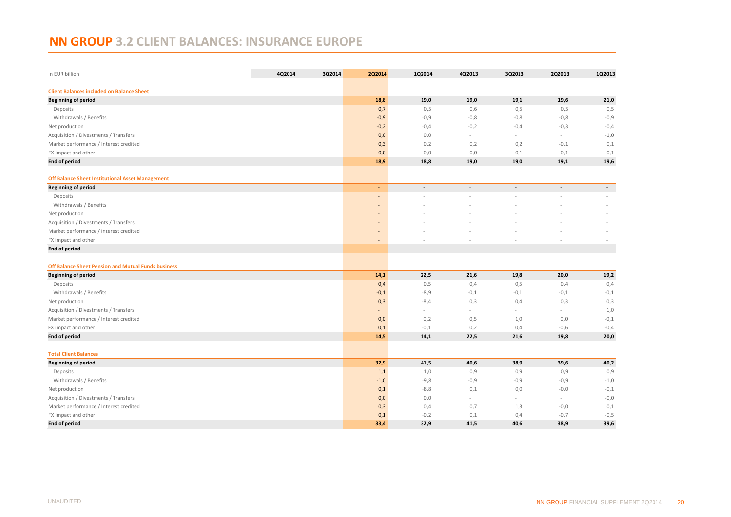# <span id="page-19-0"></span>**NN GROUP 3.2 CLIENT BALANCES: INSURANCE EUROPE**

| In EUR billion                                          | 4Q2014 | 3Q2014 | 2Q2014            | 1Q2014         | 4Q2013                   | 3Q2013                   | 2Q2013         | 1Q2013                   |
|---------------------------------------------------------|--------|--------|-------------------|----------------|--------------------------|--------------------------|----------------|--------------------------|
| <b>Client Balances included on Balance Sheet</b>        |        |        |                   |                |                          |                          |                |                          |
| <b>Beginning of period</b>                              |        |        | 18,8              | 19,0           | 19,0                     | 19,1                     | 19,6           | 21,0                     |
| Deposits                                                |        |        | 0,7               | 0,5            | 0,6                      | 0,5                      | 0,5            | 0,5                      |
| Withdrawals / Benefits                                  |        |        | $-0,9$            | $-0,9$         | $-0,8$                   | $-0,8$                   | $-0,8$         | $-0,9$                   |
| Net production                                          |        |        | $-0,2$            | $-0,4$         | $-0,2$                   | $-0,4$                   | $-0,3$         | $-0,4$                   |
| Acquisition / Divestments / Transfers                   |        |        | 0,0               | 0,0            | $\sim$                   | ä,                       | ÷,             | $-1,0$                   |
| Market performance / Interest credited                  |        |        | 0,3               | 0,2            | 0,2                      | 0,2                      | $-0,1$         | 0,1                      |
| FX impact and other                                     |        |        | 0,0               | $-0,0$         | $-0,0$                   | 0,1                      | $-0,1$         | $-0,1$                   |
| <b>End of period</b>                                    |        |        | 18,9              | 18,8           | 19,0                     | 19,0                     | 19,1           | 19,6                     |
| <b>Off Balance Sheet Institutional Asset Management</b> |        |        |                   |                |                          |                          |                |                          |
| <b>Beginning of period</b>                              |        |        | $\blacksquare$    | $\blacksquare$ | $\overline{\phantom{a}}$ | $\blacksquare$           | $\blacksquare$ | $\sim$                   |
| Deposits                                                |        |        |                   |                |                          |                          |                | $\sim$                   |
| Withdrawals / Benefits                                  |        |        |                   |                |                          |                          |                |                          |
| Net production                                          |        |        |                   |                |                          |                          |                |                          |
| Acquisition / Divestments / Transfers                   |        |        | $\overline{a}$    |                |                          |                          |                |                          |
| Market performance / Interest credited                  |        |        | $\qquad \qquad =$ |                |                          |                          |                |                          |
| FX impact and other                                     |        |        |                   |                |                          |                          |                |                          |
| <b>End of period</b>                                    |        |        | ٠                 | $\overline{a}$ | $\overline{a}$           | $\overline{\phantom{a}}$ |                | $\overline{\phantom{a}}$ |
| Off Balance Sheet Pension and Mutual Funds business     |        |        |                   |                |                          |                          |                |                          |
| <b>Beginning of period</b>                              |        |        | 14,1              | 22,5           | 21,6                     | 19,8                     | 20,0           | 19,2                     |
| Deposits                                                |        |        | 0,4               | 0,5            | 0,4                      | 0,5                      | 0,4            | 0,4                      |
| Withdrawals / Benefits                                  |        |        | $-0,1$            | $-8,9$         | $-0,1$                   | $-0,1$                   | $-0,1$         | $-0,1$                   |
| Net production                                          |        |        | 0,3               | $-8,4$         | 0,3                      | 0,4                      | 0,3            | 0,3                      |
| Acquisition / Divestments / Transfers                   |        |        |                   | ÷,             | $\sim$                   | ÷                        | ÷.             | 1,0                      |
| Market performance / Interest credited                  |        |        | 0,0               | 0,2            | 0,5                      | 1,0                      | 0,0            | $-0,1$                   |
| FX impact and other                                     |        |        | 0,1               | $-0,1$         | 0,2                      | 0,4                      | $-0,6$         | $-0,4$                   |
| <b>End of period</b>                                    |        |        | 14,5              | 14,1           | 22,5                     | 21,6                     | 19,8           | 20,0                     |
| <b>Total Client Balances</b>                            |        |        |                   |                |                          |                          |                |                          |
| <b>Beginning of period</b>                              |        |        | 32,9              | 41,5           | 40,6                     | 38,9                     | 39,6           | 40,2                     |
| Deposits                                                |        |        | 1,1               | 1,0            | 0,9                      | 0,9                      | 0,9            | 0,9                      |
| Withdrawals / Benefits                                  |        |        | $-1,0$            | $-9,8$         | $-0,9$                   | $-0,9$                   | $-0,9$         | $-1,0$                   |
| Net production                                          |        |        | 0,1               | $-8,8$         | 0,1                      | 0,0                      | $-0,0$         | $-0,1$                   |
| Acquisition / Divestments / Transfers                   |        |        | 0,0               | 0,0            | $\sim$                   | ÷                        | ÷              | $-0,0$                   |
| Market performance / Interest credited                  |        |        | 0,3               | 0,4            | 0,7                      | 1,3                      | $-0,0$         | 0,1                      |
| FX impact and other                                     |        |        | 0,1               | $-0,2$         | 0,1                      | 0,4                      | $-0,7$         | $-0,5$                   |
| <b>End of period</b>                                    |        |        | 33,4              | 32,9           | 41,5                     | 40,6                     | 38,9           | 39,6                     |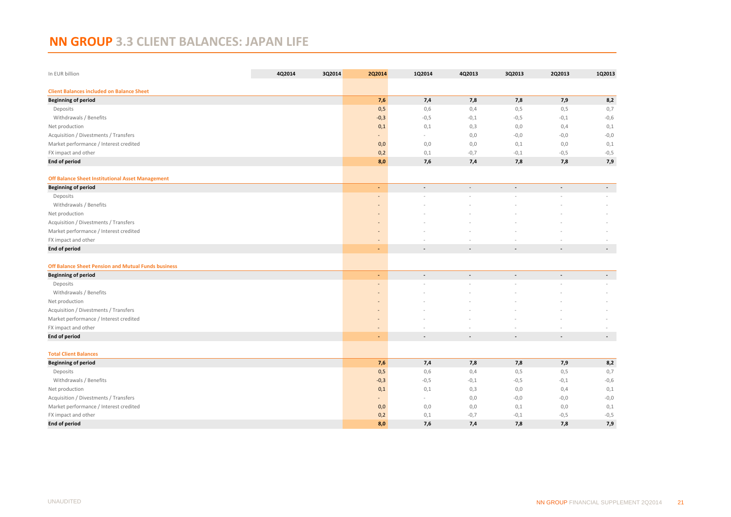# <span id="page-20-0"></span>**NN GROUP 3.3 CLIENT BALANCES: JAPAN LIFE**

| In EUR billion                                          | 4Q2014 | 3Q2014 | 2Q2014                       | 1Q2014                   | 4Q2013                   | 3Q2013                   | 2Q2013                   | 1Q2013                   |
|---------------------------------------------------------|--------|--------|------------------------------|--------------------------|--------------------------|--------------------------|--------------------------|--------------------------|
| <b>Client Balances included on Balance Sheet</b>        |        |        |                              |                          |                          |                          |                          |                          |
| <b>Beginning of period</b>                              |        |        | 7,6                          | 7,4                      | 7,8                      | 7,8                      | 7,9                      | 8,2                      |
| Deposits                                                |        |        | 0,5                          | 0,6                      | 0,4                      | 0,5                      | 0,5                      | 0,7                      |
| Withdrawals / Benefits                                  |        |        | $-0,3$                       | $-0,5$                   | $-0,1$                   | $-0,5$                   | $-0,1$                   | $-0,6$                   |
| Net production                                          |        |        | 0,1                          | 0,1                      | 0,3                      | 0,0                      | 0,4                      | 0,1                      |
| Acquisition / Divestments / Transfers                   |        |        |                              | $\sim$                   | 0,0                      | $-0,0$                   | $-0,0$                   | $-0,0$                   |
| Market performance / Interest credited                  |        |        | 0,0                          | 0,0                      | 0,0                      | 0,1                      | 0,0                      | 0,1                      |
| FX impact and other                                     |        |        | 0,2                          | 0,1                      | $-0,7$                   | $-0,1$                   | $-0,5$                   | $-0,5$                   |
| <b>End of period</b>                                    |        |        | 8,0                          | 7,6                      | 7,4                      | 7,8                      | 7,8                      | 7,9                      |
| <b>Off Balance Sheet Institutional Asset Management</b> |        |        |                              |                          |                          |                          |                          |                          |
| <b>Beginning of period</b>                              |        |        | $\blacksquare$               | ÷,                       |                          |                          |                          | $\blacksquare$           |
| Deposits                                                |        |        |                              |                          |                          |                          |                          |                          |
| Withdrawals / Benefits                                  |        |        | $\overline{\phantom{a}}$     |                          |                          |                          |                          |                          |
| Net production                                          |        |        |                              |                          |                          |                          |                          |                          |
| Acquisition / Divestments / Transfers                   |        |        | $\overline{\phantom{a}}$     |                          |                          |                          |                          |                          |
| Market performance / Interest credited                  |        |        | $\overline{\phantom{a}}$     |                          |                          |                          |                          |                          |
| FX impact and other                                     |        |        |                              |                          |                          |                          |                          |                          |
| <b>End of period</b>                                    |        |        | $\sim$                       |                          |                          |                          |                          | $\overline{\phantom{a}}$ |
| Off Balance Sheet Pension and Mutual Funds business     |        |        |                              |                          |                          |                          |                          |                          |
| <b>Beginning of period</b>                              |        |        | $\blacksquare$               | $\overline{\phantom{a}}$ | $\overline{\phantom{a}}$ | $\overline{\phantom{a}}$ | $\overline{\phantom{a}}$ | $\overline{\phantom{a}}$ |
| Deposits                                                |        |        |                              |                          |                          |                          |                          |                          |
| Withdrawals / Benefits                                  |        |        |                              |                          |                          |                          |                          |                          |
| Net production                                          |        |        |                              |                          |                          |                          |                          |                          |
| Acquisition / Divestments / Transfers                   |        |        |                              |                          |                          |                          |                          |                          |
| Market performance / Interest credited                  |        |        | $\qquad \qquad \blacksquare$ |                          |                          |                          |                          |                          |
| FX impact and other                                     |        |        | $\overline{\phantom{a}}$     |                          |                          |                          |                          |                          |
| <b>End of period</b>                                    |        |        |                              | $\overline{\phantom{a}}$ | $\overline{\phantom{a}}$ | $\overline{\phantom{a}}$ | $\overline{a}$           | $\sim$                   |
| <b>Total Client Balances</b>                            |        |        |                              |                          |                          |                          |                          |                          |
| <b>Beginning of period</b>                              |        |        | 7,6                          | 7,4                      | 7,8                      | 7,8                      | 7,9                      | 8,2                      |
| Deposits                                                |        |        | 0,5                          | 0,6                      | 0,4                      | 0,5                      | 0,5                      | 0,7                      |
| Withdrawals / Benefits                                  |        |        | $-0,3$                       | $-0,5$                   | $-0,1$                   | $-0,5$                   | $-0,1$                   | $-0,6$                   |
| Net production                                          |        |        | 0,1                          | 0,1                      | 0,3                      | 0,0                      | 0,4                      | 0,1                      |
| Acquisition / Divestments / Transfers                   |        |        |                              | $\sim$                   | 0,0                      | $-0,0$                   | $-0,0$                   | $-0,0$                   |
| Market performance / Interest credited                  |        |        | 0,0                          | 0,0                      | 0,0                      | 0,1                      | 0,0                      | 0,1                      |
| FX impact and other                                     |        |        | 0,2                          | 0,1                      | $-0,7$                   | $-0,1$                   | $-0,5$                   | $-0,5$                   |
| <b>End of period</b>                                    |        |        | 8,0                          | 7,6                      | 7,4                      | 7,8                      | 7,8                      | 7,9                      |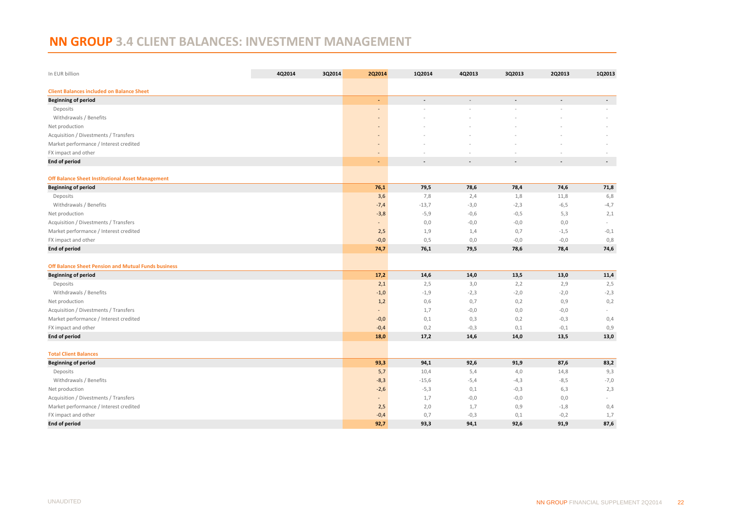# <span id="page-21-0"></span>**NN GROUP 3.4 CLIENT BALANCES: INVESTMENT MANAGEMENT**

| In EUR billion                                             | 4Q2014 | 3Q2014 | 2Q2014                                                                                                                                                                                                                                                                                                                                                                                                                                                                     | 1Q2014         | 4Q2013         | 3Q2013         | 2Q2013         | 1Q2013                   |
|------------------------------------------------------------|--------|--------|----------------------------------------------------------------------------------------------------------------------------------------------------------------------------------------------------------------------------------------------------------------------------------------------------------------------------------------------------------------------------------------------------------------------------------------------------------------------------|----------------|----------------|----------------|----------------|--------------------------|
| <b>Client Balances included on Balance Sheet</b>           |        |        |                                                                                                                                                                                                                                                                                                                                                                                                                                                                            |                |                |                |                |                          |
| <b>Beginning of period</b>                                 |        |        | ÷                                                                                                                                                                                                                                                                                                                                                                                                                                                                          | $\blacksquare$ | $\blacksquare$ | $\blacksquare$ | $\blacksquare$ | $\sim$                   |
| Deposits                                                   |        |        |                                                                                                                                                                                                                                                                                                                                                                                                                                                                            |                |                |                |                |                          |
| Withdrawals / Benefits                                     |        |        |                                                                                                                                                                                                                                                                                                                                                                                                                                                                            |                |                |                |                |                          |
| Net production                                             |        |        | $\overline{a}$                                                                                                                                                                                                                                                                                                                                                                                                                                                             |                |                |                |                |                          |
| Acquisition / Divestments / Transfers                      |        |        |                                                                                                                                                                                                                                                                                                                                                                                                                                                                            |                |                |                |                |                          |
| Market performance / Interest credited                     |        |        | $\overline{a}$                                                                                                                                                                                                                                                                                                                                                                                                                                                             |                |                |                |                |                          |
| FX impact and other                                        |        |        | $\overline{a}$                                                                                                                                                                                                                                                                                                                                                                                                                                                             |                |                |                |                |                          |
| <b>End of period</b>                                       |        |        | ÷                                                                                                                                                                                                                                                                                                                                                                                                                                                                          |                |                |                |                | $\overline{\phantom{a}}$ |
| <b>Off Balance Sheet Institutional Asset Management</b>    |        |        |                                                                                                                                                                                                                                                                                                                                                                                                                                                                            |                |                |                |                |                          |
| <b>Beginning of period</b>                                 |        |        | 76,1                                                                                                                                                                                                                                                                                                                                                                                                                                                                       | 79,5           | 78,6           | 78,4           | 74,6           | 71,8                     |
| Deposits                                                   |        |        | 3,6                                                                                                                                                                                                                                                                                                                                                                                                                                                                        | 7,8            | 2,4            | 1,8            | 11,8           | 6,8                      |
| Withdrawals / Benefits                                     |        |        | $-7,4$                                                                                                                                                                                                                                                                                                                                                                                                                                                                     | $-13,7$        | $-3,0$         | $-2,3$         | $-6,5$         | $-4,7$                   |
| Net production                                             |        |        | $-3,8$                                                                                                                                                                                                                                                                                                                                                                                                                                                                     | $-5,9$         | $-0,6$         | $-0,5$         | 5,3            | 2,1                      |
| Acquisition / Divestments / Transfers                      |        |        | $\frac{1}{2} \left( \frac{1}{2} \right) \left( \frac{1}{2} \right) \left( \frac{1}{2} \right) \left( \frac{1}{2} \right) \left( \frac{1}{2} \right) \left( \frac{1}{2} \right) \left( \frac{1}{2} \right) \left( \frac{1}{2} \right) \left( \frac{1}{2} \right) \left( \frac{1}{2} \right) \left( \frac{1}{2} \right) \left( \frac{1}{2} \right) \left( \frac{1}{2} \right) \left( \frac{1}{2} \right) \left( \frac{1}{2} \right) \left( \frac{1}{2} \right) \left( \frac$ | 0,0            | $-0,0$         | $-0,0$         | 0,0            | $\sim$                   |
| Market performance / Interest credited                     |        |        | 2,5                                                                                                                                                                                                                                                                                                                                                                                                                                                                        | 1,9            | 1,4            | 0,7            | $-1,5$         | $-0,1$                   |
| FX impact and other                                        |        |        | $-0,0$                                                                                                                                                                                                                                                                                                                                                                                                                                                                     | 0,5            | 0,0            | $-0,0$         | $-0,0$         | 0,8                      |
| <b>End of period</b>                                       |        |        | 74,7                                                                                                                                                                                                                                                                                                                                                                                                                                                                       | 76,1           | 79,5           | 78,6           | 78,4           | 74,6                     |
| <b>Off Balance Sheet Pension and Mutual Funds business</b> |        |        |                                                                                                                                                                                                                                                                                                                                                                                                                                                                            |                |                |                |                |                          |
| <b>Beginning of period</b>                                 |        |        | 17,2                                                                                                                                                                                                                                                                                                                                                                                                                                                                       | 14,6           | 14,0           | 13,5           | 13,0           | 11,4                     |
| Deposits                                                   |        |        | 2,1                                                                                                                                                                                                                                                                                                                                                                                                                                                                        | 2,5            | 3,0            | 2,2            | 2,9            | 2,5                      |
| Withdrawals / Benefits                                     |        |        | $-1,0$                                                                                                                                                                                                                                                                                                                                                                                                                                                                     | $-1,9$         | $-2,3$         | $-2,0$         | $-2,0$         | $-2,3$                   |
| Net production                                             |        |        | 1,2                                                                                                                                                                                                                                                                                                                                                                                                                                                                        | 0,6            | 0,7            | 0,2            | 0,9            | 0,2                      |
| Acquisition / Divestments / Transfers                      |        |        | $\blacksquare$                                                                                                                                                                                                                                                                                                                                                                                                                                                             | 1,7            | $-0,0$         | 0,0            | $-0,0$         | $\sim$                   |
| Market performance / Interest credited                     |        |        | $-0,0$                                                                                                                                                                                                                                                                                                                                                                                                                                                                     | 0,1            | 0,3            | 0,2            | $-0,3$         | 0,4                      |
| FX impact and other                                        |        |        | $-0,4$                                                                                                                                                                                                                                                                                                                                                                                                                                                                     | 0,2            | $-0,3$         | 0,1            | $-0,1$         | 0,9                      |
| <b>End of period</b>                                       |        |        | 18,0                                                                                                                                                                                                                                                                                                                                                                                                                                                                       | 17,2           | 14,6           | 14,0           | 13,5           | 13,0                     |
| <b>Total Client Balances</b>                               |        |        |                                                                                                                                                                                                                                                                                                                                                                                                                                                                            |                |                |                |                |                          |
| <b>Beginning of period</b>                                 |        |        | 93,3                                                                                                                                                                                                                                                                                                                                                                                                                                                                       | 94,1           | 92,6           | 91,9           | 87,6           | 83,2                     |
| Deposits                                                   |        |        | 5,7                                                                                                                                                                                                                                                                                                                                                                                                                                                                        | 10,4           | 5,4            | 4,0            | 14,8           | 9,3                      |
| Withdrawals / Benefits                                     |        |        | $-8,3$                                                                                                                                                                                                                                                                                                                                                                                                                                                                     | $-15,6$        | $-5,4$         | $-4,3$         | $-8,5$         | $-7,0$                   |
| Net production                                             |        |        | $-2,6$                                                                                                                                                                                                                                                                                                                                                                                                                                                                     | $-5,3$         | 0,1            | $-0,3$         | 6,3            | 2,3                      |
| Acquisition / Divestments / Transfers                      |        |        |                                                                                                                                                                                                                                                                                                                                                                                                                                                                            | 1,7            | $-0,0$         | $-0,0$         | 0,0            |                          |
| Market performance / Interest credited                     |        |        | 2,5                                                                                                                                                                                                                                                                                                                                                                                                                                                                        | 2,0            | 1,7            | 0,9            | $-1,8$         | 0,4                      |
| FX impact and other                                        |        |        | $-0,4$                                                                                                                                                                                                                                                                                                                                                                                                                                                                     | 0,7            | $-0,3$         | 0,1            | $-0,2$         | 1,7                      |
| <b>End of period</b>                                       |        |        | 92,7                                                                                                                                                                                                                                                                                                                                                                                                                                                                       | 93,3           | 94,1           | 92,6           | 91,9           | 87,6                     |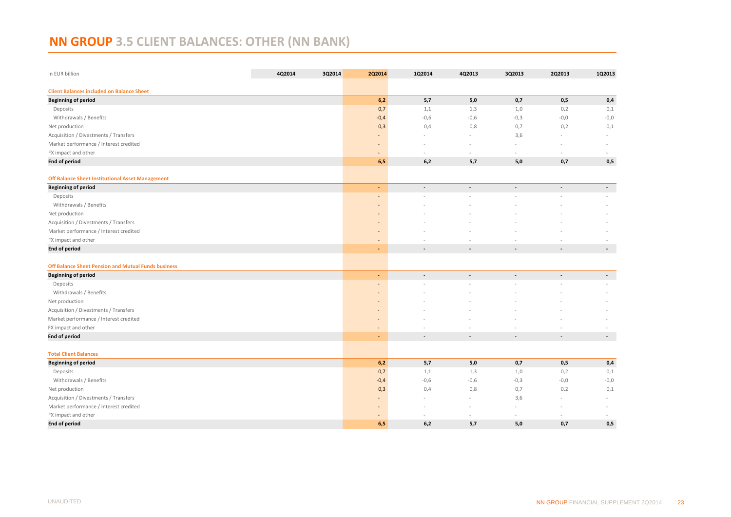# <span id="page-22-0"></span>**NN GROUP 3.5 CLIENT BALANCES: OTHER (NN BANK)**

| In EUR billion                                             | 4Q2014 | 3Q2014 | 2Q2014                   | 1Q2014                   | 4Q2013                   | 3Q2013                   | 2Q2013                   | 1Q2013                   |
|------------------------------------------------------------|--------|--------|--------------------------|--------------------------|--------------------------|--------------------------|--------------------------|--------------------------|
| <b>Client Balances included on Balance Sheet</b>           |        |        |                          |                          |                          |                          |                          |                          |
| <b>Beginning of period</b>                                 |        |        | 6,2                      | 5,7                      | 5,0                      | 0,7                      | 0,5                      | 0,4                      |
| Deposits                                                   |        |        | 0,7                      | 1,1                      | 1,3                      | 1,0                      | 0,2                      | 0,1                      |
| Withdrawals / Benefits                                     |        |        | $-0,4$                   | $-0,6$                   | $-0,6$                   | $-0,3$                   | $-0,0$                   | $-0,0$                   |
| Net production                                             |        |        | 0,3                      | 0,4                      | 0,8                      | 0,7                      | 0,2                      | 0,1                      |
| Acquisition / Divestments / Transfers                      |        |        |                          | -                        | $\sim$                   | 3,6                      |                          | ÷                        |
| Market performance / Interest credited                     |        |        |                          |                          |                          |                          |                          |                          |
| FX impact and other                                        |        |        |                          |                          |                          |                          |                          |                          |
| <b>End of period</b>                                       |        |        | 6,5                      | 6,2                      | 5,7                      | 5,0                      | 0,7                      | 0,5                      |
| <b>Off Balance Sheet Institutional Asset Management</b>    |        |        |                          |                          |                          |                          |                          |                          |
| <b>Beginning of period</b>                                 |        |        | $\sim$                   | $\blacksquare$           | ÷,                       | $\blacksquare$           | ÷,                       | $\blacksquare$           |
| Deposits                                                   |        |        | $\overline{\phantom{a}}$ |                          |                          |                          |                          |                          |
| Withdrawals / Benefits                                     |        |        |                          |                          |                          |                          |                          |                          |
| Net production                                             |        |        |                          |                          |                          |                          |                          |                          |
| Acquisition / Divestments / Transfers                      |        |        |                          |                          |                          |                          |                          |                          |
| Market performance / Interest credited                     |        |        | $\sim$                   |                          |                          |                          |                          |                          |
| FX impact and other                                        |        |        | $\sim$                   |                          |                          |                          |                          |                          |
| <b>End of period</b>                                       |        |        | $\blacksquare$           | $\overline{\phantom{a}}$ | $\overline{a}$           | $\blacksquare$           | $\overline{a}$           | $\overline{\phantom{a}}$ |
| <b>Off Balance Sheet Pension and Mutual Funds business</b> |        |        |                          |                          |                          |                          |                          |                          |
| <b>Beginning of period</b>                                 |        |        | ٠                        | $\overline{\phantom{a}}$ | $\blacksquare$           | $\blacksquare$           | $\overline{\phantom{a}}$ | $\overline{\phantom{a}}$ |
| Deposits                                                   |        |        | ÷,                       |                          |                          |                          |                          |                          |
| Withdrawals / Benefits                                     |        |        |                          |                          |                          |                          |                          |                          |
| Net production                                             |        |        |                          |                          |                          |                          |                          |                          |
| Acquisition / Divestments / Transfers                      |        |        | $\overline{\phantom{a}}$ |                          |                          |                          |                          |                          |
| Market performance / Interest credited                     |        |        | $\overline{\phantom{a}}$ |                          |                          |                          |                          |                          |
| FX impact and other                                        |        |        |                          |                          |                          |                          |                          |                          |
| <b>End of period</b>                                       |        |        | ÷                        | $\overline{\phantom{a}}$ | $\overline{\phantom{a}}$ | $\overline{\phantom{a}}$ | $\overline{\phantom{a}}$ | $\sim$                   |
| <b>Total Client Balances</b>                               |        |        |                          |                          |                          |                          |                          |                          |
| <b>Beginning of period</b>                                 |        |        | 6,2                      | 5,7                      | 5,0                      | 0,7                      | 0,5                      | 0,4                      |
| Deposits                                                   |        |        | 0,7                      | 1,1                      | 1,3                      | 1,0                      | 0,2                      | 0,1                      |
| Withdrawals / Benefits                                     |        |        | $-0,4$                   | $-0,6$                   | $-0,6$                   | $-0,3$                   | $-0,0$                   | $-0,0$                   |
| Net production                                             |        |        | 0,3                      | 0,4                      | 0,8                      | 0,7                      | 0,2                      | 0,1                      |
| Acquisition / Divestments / Transfers                      |        |        |                          |                          |                          | 3,6                      |                          |                          |
| Market performance / Interest credited                     |        |        |                          |                          |                          |                          |                          |                          |
| FX impact and other                                        |        |        |                          |                          |                          |                          |                          |                          |
| <b>End of period</b>                                       |        |        | 6,5                      | 6,2                      | 5,7                      | 5,0                      | 0,7                      | 0,5                      |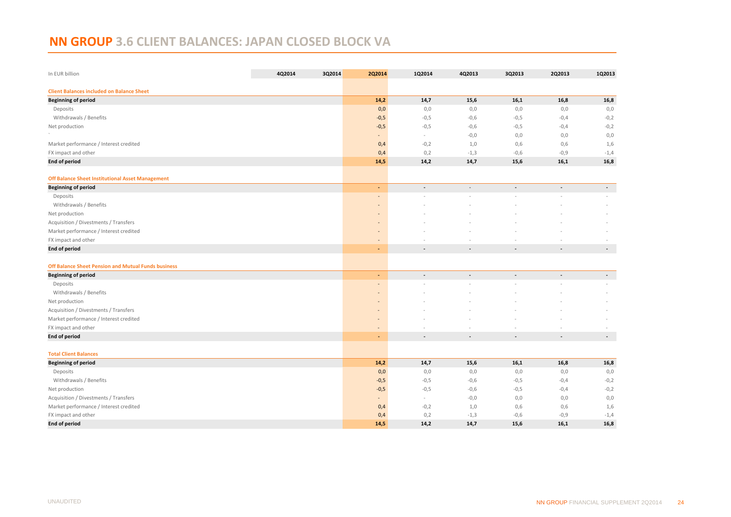# <span id="page-23-0"></span>**NN GROUP 3.6 CLIENT BALANCES: JAPAN CLOSED BLOCK VA**

| In EUR billion                                             | 4Q2014 | 3Q2014 | 2Q2014                       | 1Q2014                   | 4Q2013         | 3Q2013         | 2Q2013                   | 1Q2013         |
|------------------------------------------------------------|--------|--------|------------------------------|--------------------------|----------------|----------------|--------------------------|----------------|
| <b>Client Balances included on Balance Sheet</b>           |        |        |                              |                          |                |                |                          |                |
| <b>Beginning of period</b>                                 |        |        | 14,2                         | 14,7                     | 15,6           | 16,1           | 16,8                     | 16,8           |
| Deposits                                                   |        |        | 0,0                          | 0,0                      | 0,0            | 0,0            | 0,0                      | 0,0            |
| Withdrawals / Benefits                                     |        |        | $-0,5$                       | $-0,5$                   | $-0,6$         | $-0,5$         | $-0,4$                   | $-0,2$         |
| Net production                                             |        |        | $-0,5$                       | $-0,5$                   | $-0,6$         | $-0,5$         | $-0,4$                   | $-0,2$         |
|                                                            |        |        |                              | $\sim$                   | $-0,0$         | 0,0            | 0,0                      | 0,0            |
| Market performance / Interest credited                     |        |        | 0,4                          | $-0,2$                   | 1,0            | 0,6            | 0,6                      | 1,6            |
| FX impact and other                                        |        |        | 0,4                          | 0,2                      | $-1,3$         | $-0,6$         | $-0,9$                   | $-1,4$         |
| <b>End of period</b>                                       |        |        | 14,5                         | 14,2                     | 14,7           | 15,6           | 16,1                     | 16,8           |
| <b>Off Balance Sheet Institutional Asset Management</b>    |        |        |                              |                          |                |                |                          |                |
| <b>Beginning of period</b>                                 |        |        | ٠                            | $\overline{a}$           | $\overline{a}$ | $\overline{a}$ | $\overline{a}$           | $\sim$         |
| Deposits                                                   |        |        | $\blacksquare$               |                          |                |                |                          |                |
| Withdrawals / Benefits                                     |        |        |                              |                          |                |                |                          |                |
| Net production                                             |        |        | $\overline{\phantom{a}}$     |                          |                |                |                          |                |
| Acquisition / Divestments / Transfers                      |        |        |                              |                          |                |                |                          |                |
| Market performance / Interest credited                     |        |        |                              |                          |                |                |                          |                |
| FX impact and other                                        |        |        | $\overline{\phantom{a}}$     |                          |                |                |                          |                |
| <b>End of period</b>                                       |        |        | ٠                            | $\blacksquare$           | $\blacksquare$ | $\blacksquare$ | $\overline{\phantom{a}}$ | $\blacksquare$ |
| <b>Off Balance Sheet Pension and Mutual Funds business</b> |        |        |                              |                          |                |                |                          |                |
| <b>Beginning of period</b>                                 |        |        | $\blacksquare$               |                          |                |                |                          | $\blacksquare$ |
| Deposits                                                   |        |        | $\overline{\phantom{a}}$     |                          |                |                |                          |                |
| Withdrawals / Benefits                                     |        |        |                              |                          |                |                |                          |                |
| Net production                                             |        |        |                              |                          |                |                |                          |                |
| Acquisition / Divestments / Transfers                      |        |        | $\qquad \qquad \blacksquare$ |                          |                |                |                          |                |
| Market performance / Interest credited                     |        |        | $\blacksquare$               |                          |                |                |                          |                |
| FX impact and other                                        |        |        |                              |                          |                |                |                          |                |
| <b>End of period</b>                                       |        |        | ٠                            | $\overline{\phantom{a}}$ | $\blacksquare$ | $\blacksquare$ | $\overline{\phantom{a}}$ | $\blacksquare$ |
| <b>Total Client Balances</b>                               |        |        |                              |                          |                |                |                          |                |
| <b>Beginning of period</b>                                 |        |        | 14,2                         | 14,7                     | 15,6           | 16,1           | 16,8                     | 16,8           |
| Deposits                                                   |        |        | 0,0                          | 0,0                      | 0,0            | 0,0            | 0,0                      | 0,0            |
| Withdrawals / Benefits                                     |        |        | $-0,5$                       | $-0,5$                   | $-0,6$         | $-0,5$         | $-0,4$                   | $-0,2$         |
| Net production                                             |        |        | $-0,5$                       | $-0,5$                   | $-0,6$         | $-0,5$         | $-0,4$                   | $-0,2$         |
| Acquisition / Divestments / Transfers                      |        |        | $\blacksquare$               | $\sim$                   | $-0,0$         | 0,0            | 0,0                      | 0,0            |
| Market performance / Interest credited                     |        |        | 0,4                          | $-0,2$                   | 1,0            | 0,6            | 0,6                      | 1,6            |
| FX impact and other                                        |        |        | 0,4                          | 0,2                      | $-1,3$         | $-0,6$         | $-0,9$                   | $-1,4$         |
| <b>End of period</b>                                       |        |        | 14,5                         | 14,2                     | 14,7           | 15,6           | 16,1                     | 16,8           |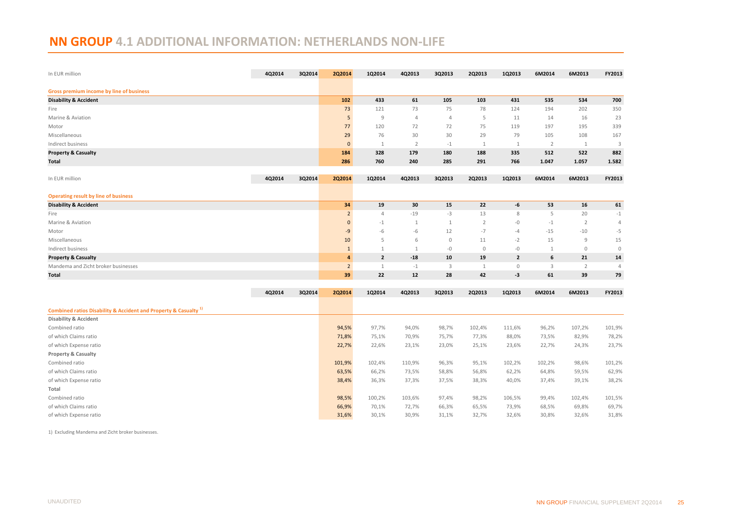# <span id="page-24-0"></span>**NN GROUP 4.1 ADDITIONAL INFORMATION: NETHERLANDS NON-LIFE**

| In EUR million                                                              | 4Q2014 | 3Q2014 | 2Q2014         | 1Q2014         | 4Q2013         | 3Q2013         | 2Q2013         | 1Q2013         | 6M2014         | 6M2013         | FY2013         |
|-----------------------------------------------------------------------------|--------|--------|----------------|----------------|----------------|----------------|----------------|----------------|----------------|----------------|----------------|
| <b>Gross premium income by line of business</b>                             |        |        |                |                |                |                |                |                |                |                |                |
| <b>Disability &amp; Accident</b>                                            |        |        | 102            | 433            | 61             | 105            | 103            | 431            | 535            | 534            | 700            |
| Fire                                                                        |        |        | 73             | 121            | 73             | 75             | 78             | 124            | 194            | 202            | 350            |
| Marine & Aviation                                                           |        |        | 5              | 9              | $\overline{4}$ | $\overline{4}$ | 5              | 11             | 14             | 16             | 23             |
| Motor                                                                       |        |        | 77             | 120            | 72             | 72             | 75             | 119            | 197            | 195            | 339            |
| Miscellaneous                                                               |        |        | 29             | 76             | 30             | 30             | 29             | 79             | 105            | 108            | 167            |
| Indirect business                                                           |        |        | $\mathbf{0}$   | 1              | $\overline{2}$ | $-1$           | $\mathbf{1}$   | $\mathbf{1}$   | $\overline{2}$ | 1              | 3              |
| <b>Property &amp; Casualty</b>                                              |        |        | 184            | 328            | 179            | 180            | 188            | 335            | 512            | 522            | 882            |
| Total                                                                       |        |        | 286            | 760            | 240            | 285            | 291            | 766            | 1.047          | 1.057          | 1.582          |
|                                                                             |        |        |                |                |                |                |                |                |                |                |                |
| In EUR million                                                              | 4Q2014 | 3Q2014 | 2Q2014         | 1Q2014         | 4Q2013         | 3Q2013         | 2Q2013         | 1Q2013         | 6M2014         | 6M2013         | FY2013         |
| <b>Operating result by line of business</b>                                 |        |        |                |                |                |                |                |                |                |                |                |
| <b>Disability &amp; Accident</b>                                            |        |        | 34             | 19             | 30             | 15             | 22             | -6             | 53             | 16             | 61             |
| Fire                                                                        |        |        | $\overline{2}$ | $\overline{4}$ | $-19$          | $-3$           | 13             | 8              | 5              | 20             | $-1$           |
| Marine & Aviation                                                           |        |        | $\mathbf{0}$   | $-1$           | 1              | $\mathbf{1}$   | $\overline{2}$ | -0             | $-1$           | $\overline{2}$ | $\overline{4}$ |
| Motor                                                                       |        |        | -9             | $-6$           | $-6$           | 12             | $-7$           | -4             | $-15$          | $-10$          | $-5$           |
| Miscellaneous                                                               |        |        | 10             | 5              | 6              | $\mathbf 0$    | 11             | $-2$           | 15             | 9              | 15             |
| Indirect business                                                           |        |        | $\mathbf{1}$   | $\mathbf{1}$   | 1              | $-0$           | $\mathbb O$    | $-0$           | 1              | $\mathbf 0$    | $\circ$        |
| <b>Property &amp; Casualty</b>                                              |        |        | $\overline{a}$ | $\mathbf{2}$   | $-18$          | 10             | 19             | $\overline{2}$ | 6              | 21             | 14             |
| Mandema and Zicht broker businesses                                         |        |        | $\overline{2}$ | $\mathbf{1}$   | $-1$           | 3              | 1              | $\mathbb O$    | 3              | 2              | $\overline{4}$ |
| Total                                                                       |        |        | 39             | 22             | 12             | 28             | 42             | -3             | 61             | 39             | 79             |
|                                                                             |        |        |                |                |                |                |                |                |                |                |                |
|                                                                             | 4Q2014 | 3Q2014 | 2Q2014         | 1Q2014         | 4Q2013         | 3Q2013         | 2Q2013         | 1Q2013         | 6M2014         | 6M2013         | FY2013         |
| Combined ratios Disability & Accident and Property & Casualty <sup>1)</sup> |        |        |                |                |                |                |                |                |                |                |                |
| <b>Disability &amp; Accident</b>                                            |        |        |                |                |                |                |                |                |                |                |                |
| Combined ratio                                                              |        |        | 94,5%          | 97,7%          | 94,0%          | 98,7%          | 102,4%         | 111,6%         | 96,2%          | 107,2%         | 101,9%         |
| of which Claims ratio                                                       |        |        | 71,8%          | 75,1%          | 70,9%          | 75,7%          | 77,3%          | 88,0%          | 73,5%          | 82,9%          | 78,2%          |
| of which Expense ratio                                                      |        |        | 22,7%          | 22,6%          | 23,1%          | 23,0%          | 25,1%          | 23,6%          | 22,7%          | 24,3%          | 23,7%          |
| Property & Casualty                                                         |        |        |                |                |                |                |                |                |                |                |                |
| Combined ratio                                                              |        |        | 101,9%         | 102,4%         | 110,9%         | 96,3%          | 95,1%          | 102,2%         | 102,2%         | 98,6%          | 101,2%         |
| of which Claims ratio                                                       |        |        | 63,5%          | 66,2%          | 73,5%          | 58,8%          | 56,8%          | 62,2%          | 64,8%          | 59,5%          | 62,9%          |
| of which Expense ratio                                                      |        |        | 38,4%          | 36,3%          | 37,3%          | 37,5%          | 38,3%          | 40,0%          | 37,4%          | 39,1%          | 38,2%          |
| Total                                                                       |        |        |                |                |                |                |                |                |                |                |                |
| Combined ratio                                                              |        |        | 98,5%          | 100,2%         | 103,6%         | 97,4%          | 98,2%          | 106,5%         | 99,4%          | 102,4%         | 101,5%         |
| of which Claims ratio                                                       |        |        | 66,9%          | 70,1%          | 72,7%          | 66,3%          | 65,5%          | 73,9%          | 68,5%          | 69,8%          | 69,7%          |
| of which Expense ratio                                                      |        |        | 31,6%          | 30,1%          | 30,9%          | 31,1%          | 32,7%          | 32,6%          | 30,8%          | 32,6%          | 31,8%          |
|                                                                             |        |        |                |                |                |                |                |                |                |                |                |

1) Excluding Mandema and Zicht broker businesses.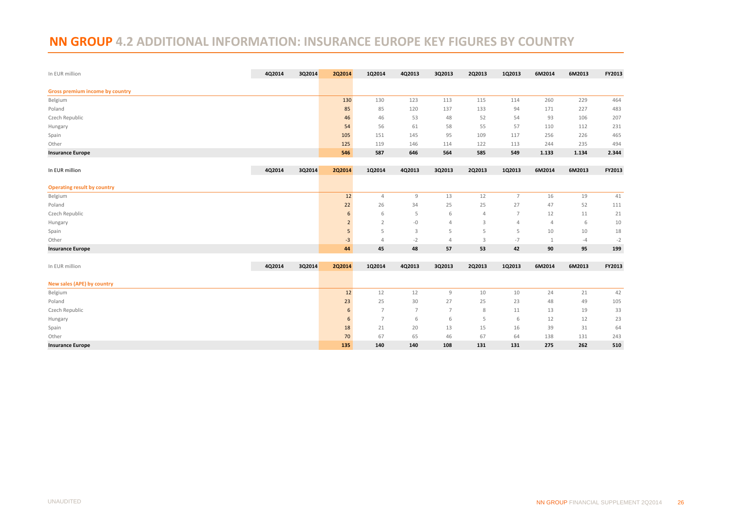## <span id="page-25-0"></span>**NN GROUP 4.2 ADDITIONAL INFORMATION: INSURANCE EUROPE KEY FIGURES BY COUNTRY**

| In EUR million                         | 4Q2014 | 3Q2014 | <b>2Q2014</b>  | 1Q2014         | 4Q2013         | 3Q2013         | 2Q2013         | 1Q2013         | 6M2014       | 6M2013 | FY2013 |
|----------------------------------------|--------|--------|----------------|----------------|----------------|----------------|----------------|----------------|--------------|--------|--------|
| <b>Gross premium income by country</b> |        |        |                |                |                |                |                |                |              |        |        |
| Belgium                                |        |        | 130            | 130            | 123            | 113            | 115            | 114            | 260          | 229    | 464    |
| Poland                                 |        |        | 85             | 85             | 120            | 137            | 133            | 94             | 171          | 227    | 483    |
| Czech Republic                         |        |        | 46             | 46             | 53             | 48             | 52             | 54             | 93           | 106    | 207    |
| Hungary                                |        |        | 54             | 56             | 61             | 58             | 55             | 57             | 110          | 112    | 231    |
| Spain                                  |        |        | 105            | 151            | 145            | 95             | 109            | 117            | 256          | 226    | 465    |
| Other                                  |        |        | 125            | 119            | 146            | 114            | 122            | 113            | 244          | 235    | 494    |
| <b>Insurance Europe</b>                |        |        | 546            | 587            | 646            | 564            | 585            | 549            | 1.133        | 1.134  | 2.344  |
| In EUR million                         | 4Q2014 | 3Q2014 | 2Q2014         | 1Q2014         | 4Q2013         | 3Q2013         | 2Q2013         | 1Q2013         | 6M2014       | 6M2013 | FY2013 |
|                                        |        |        |                |                |                |                |                |                |              |        |        |
| <b>Operating result by country</b>     |        |        |                |                |                |                |                |                |              |        |        |
| Belgium                                |        |        | 12             | $\overline{4}$ | 9              | 13             | 12             | $\overline{7}$ | 16           | 19     | 41     |
| Poland                                 |        |        | 22             | 26             | 34             | 25             | 25             | 27             | 47           | 52     | 111    |
| Czech Republic                         |        |        | 6              | 6              | 5              | 6              | $\overline{4}$ | $\overline{7}$ | 12           | 11     | 21     |
| Hungary                                |        |        | $\overline{2}$ | $\overline{2}$ | $-{\mathbb O}$ | 4              | 3              | 4              | 4            | 6      | 10     |
| Spain                                  |        |        | 5              | 5              | 3              | 5              | 5              | 5              | 10           | 10     | 18     |
| Other                                  |        |        | $-3$           | $\overline{4}$ | $-2$           | $\overline{4}$ | 3              | $-7$           | $\mathbf{1}$ | $-4$   | $-2$   |
| <b>Insurance Europe</b>                |        |        | 44             | 45             | 48             | 57             | 53             | 42             | 90           | 95     | 199    |
| In EUR million                         | 4Q2014 | 3Q2014 | <b>2Q2014</b>  | 1Q2014         | 4Q2013         | 3Q2013         | 2Q2013         | 1Q2013         | 6M2014       | 6M2013 | FY2013 |
| New sales (APE) by country             |        |        |                |                |                |                |                |                |              |        |        |
| Belgium                                |        |        | 12             | 12             | 12             | 9              | 10             | 10             | 24           | 21     | 42     |
| Poland                                 |        |        | 23             | 25             | 30             | 27             | 25             | 23             | 48           | 49     | 105    |
| Czech Republic                         |        |        | 6              | $\overline{7}$ | $\overline{7}$ | $\overline{7}$ | 8              | 11             | 13           | 19     | 33     |
| Hungary                                |        |        | 6              | $\overline{7}$ | 6              | 6              | 5              | 6              | 12           | 12     | 23     |
| Spain                                  |        |        | 18             | 21             | 20             | 13             | 15             | 16             | 39           | 31     | 64     |
| Other                                  |        |        | 70             | 67             | 65             | 46             | 67             | 64             | 138          | 131    | 243    |
| <b>Insurance Europe</b>                |        |        | 135            | 140            | 140            | 108            | 131            | 131            | 275          | 262    | 510    |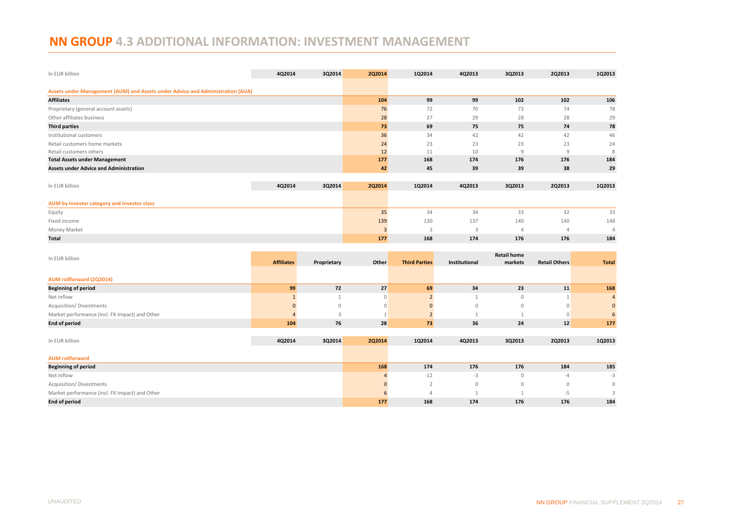# <span id="page-26-0"></span>**NN GROUP 4.3 ADDITIONAL INFORMATION: INVESTMENT MANAGEMENT**

| In EUR billion                                                                 | 4Q2014 | 3Q2014 | <b>2Q2014</b>  | 1Q2014 | 4Q2013 | 3Q2013 | 2Q2013         | 1Q2013 |
|--------------------------------------------------------------------------------|--------|--------|----------------|--------|--------|--------|----------------|--------|
| Assets under Management (AUM) and Assets under Advice and Administration (AUA) |        |        |                |        |        |        |                |        |
| <b>Affiliates</b>                                                              |        |        | 104            | 99     | 99     | 102    | 102            | 106    |
| Proprietary (general account assets)                                           |        |        | 76             | 72     | 70     | 73     | 74             | 78     |
| Other affiliates business                                                      |        |        | 28             | 27     | 29     | 28     | 28             | 29     |
| <b>Third parties</b>                                                           |        |        | 73             | 69     | 75     | 75     | 74             | 78     |
| Institutional customers                                                        |        |        | 36             | 34     | 42     | 42     | 42             | 46     |
| Retail customers home markets                                                  |        |        | 24             | 23     | 23     | 23     | 23             | 24     |
| Retail customers others                                                        |        |        | 12             | 11     | 10     | 9      | 9              | 8      |
| <b>Total Assets under Management</b>                                           |        |        | 177            | 168    | 174    | 176    | 176            | 184    |
| <b>Assets under Advice and Administration</b>                                  |        |        | 42             | 45     | 39     | 39     | 38             | 29     |
|                                                                                |        |        |                |        |        |        |                |        |
| In EUR billion                                                                 | 4Q2014 | 3Q2014 | <b>2Q2014</b>  | 1Q2014 | 4Q2013 | 3Q2013 | 2Q2013         | 1Q2013 |
| AUM by investor category and Investor class                                    |        |        |                |        |        |        |                |        |
| Equity                                                                         |        |        | 35             | 34     | 34     | 33     | 32             | 33     |
| Fixed income                                                                   |        |        | 139            | 130    | 137    | 140    | 140            | 148    |
| Money Market                                                                   |        |        | $\overline{3}$ | 3      | 3      | 4      | $\overline{4}$ | Δ      |
| <b>Total</b>                                                                   |        |        | 177            | 168    | 174    | 176    | 176            | 184    |

| <b>Affiliates</b><br>Proprietary<br>Other<br><b>Third Parties</b><br><b>Retail Others</b><br><b>Total</b><br>Institutional<br>markets<br>AUM rollforward (2Q2014)<br>72<br>27<br>168<br>99<br>69<br>34<br>23<br>11<br><b>Beginning of period</b><br>Net inflow<br>$\circ$<br>$\mathbf{0}$<br>$\overline{4}$<br><b>Acquisition/Divestments</b><br>$\overline{0}$<br>$\mathbb O$<br>$\mathbb O$<br>$\mathbf 0$<br>$\Omega$<br>Market performance (incl. FX Impact) and Other<br>6<br>$\overline{0}$<br>76<br><b>End of period</b><br>28<br>36<br>24<br>12<br>177<br>73<br>104<br>1Q2013<br>In EUR billion<br>4Q2014<br>3Q2014<br><b>2Q2014</b><br>1Q2014<br>4Q2013<br>3Q2013<br><b>2Q2013</b><br><b>AUM</b> rollforward<br>185<br>168<br>174<br>176<br>176<br>184<br><b>Beginning of period</b><br>Net inflow<br>$-12$<br>$-3$<br>$-3$<br>$\mathbf{0}$<br>$-4$<br><b>Acquisition/Divestments</b><br>$\overline{2}$<br>$\mathbb O$<br>$\mathbf{0}$<br>$\mathbf{0}$<br>$\mathbf{0}$<br>Market performance (incl. FX Impact) and Other<br>-5<br><b>End of period</b><br>168<br>174<br>176<br>184<br>176<br>177 | In EUR billion |  |  | <b>Retail home</b> |  |
|-----------------------------------------------------------------------------------------------------------------------------------------------------------------------------------------------------------------------------------------------------------------------------------------------------------------------------------------------------------------------------------------------------------------------------------------------------------------------------------------------------------------------------------------------------------------------------------------------------------------------------------------------------------------------------------------------------------------------------------------------------------------------------------------------------------------------------------------------------------------------------------------------------------------------------------------------------------------------------------------------------------------------------------------------------------------------------------------------------------|----------------|--|--|--------------------|--|
|                                                                                                                                                                                                                                                                                                                                                                                                                                                                                                                                                                                                                                                                                                                                                                                                                                                                                                                                                                                                                                                                                                           |                |  |  |                    |  |
|                                                                                                                                                                                                                                                                                                                                                                                                                                                                                                                                                                                                                                                                                                                                                                                                                                                                                                                                                                                                                                                                                                           |                |  |  |                    |  |
|                                                                                                                                                                                                                                                                                                                                                                                                                                                                                                                                                                                                                                                                                                                                                                                                                                                                                                                                                                                                                                                                                                           |                |  |  |                    |  |
|                                                                                                                                                                                                                                                                                                                                                                                                                                                                                                                                                                                                                                                                                                                                                                                                                                                                                                                                                                                                                                                                                                           |                |  |  |                    |  |
|                                                                                                                                                                                                                                                                                                                                                                                                                                                                                                                                                                                                                                                                                                                                                                                                                                                                                                                                                                                                                                                                                                           |                |  |  |                    |  |
|                                                                                                                                                                                                                                                                                                                                                                                                                                                                                                                                                                                                                                                                                                                                                                                                                                                                                                                                                                                                                                                                                                           |                |  |  |                    |  |
|                                                                                                                                                                                                                                                                                                                                                                                                                                                                                                                                                                                                                                                                                                                                                                                                                                                                                                                                                                                                                                                                                                           |                |  |  |                    |  |
|                                                                                                                                                                                                                                                                                                                                                                                                                                                                                                                                                                                                                                                                                                                                                                                                                                                                                                                                                                                                                                                                                                           |                |  |  |                    |  |
|                                                                                                                                                                                                                                                                                                                                                                                                                                                                                                                                                                                                                                                                                                                                                                                                                                                                                                                                                                                                                                                                                                           |                |  |  |                    |  |
|                                                                                                                                                                                                                                                                                                                                                                                                                                                                                                                                                                                                                                                                                                                                                                                                                                                                                                                                                                                                                                                                                                           |                |  |  |                    |  |
|                                                                                                                                                                                                                                                                                                                                                                                                                                                                                                                                                                                                                                                                                                                                                                                                                                                                                                                                                                                                                                                                                                           |                |  |  |                    |  |
|                                                                                                                                                                                                                                                                                                                                                                                                                                                                                                                                                                                                                                                                                                                                                                                                                                                                                                                                                                                                                                                                                                           |                |  |  |                    |  |
|                                                                                                                                                                                                                                                                                                                                                                                                                                                                                                                                                                                                                                                                                                                                                                                                                                                                                                                                                                                                                                                                                                           |                |  |  |                    |  |
|                                                                                                                                                                                                                                                                                                                                                                                                                                                                                                                                                                                                                                                                                                                                                                                                                                                                                                                                                                                                                                                                                                           |                |  |  |                    |  |
|                                                                                                                                                                                                                                                                                                                                                                                                                                                                                                                                                                                                                                                                                                                                                                                                                                                                                                                                                                                                                                                                                                           |                |  |  |                    |  |
|                                                                                                                                                                                                                                                                                                                                                                                                                                                                                                                                                                                                                                                                                                                                                                                                                                                                                                                                                                                                                                                                                                           |                |  |  |                    |  |
|                                                                                                                                                                                                                                                                                                                                                                                                                                                                                                                                                                                                                                                                                                                                                                                                                                                                                                                                                                                                                                                                                                           |                |  |  |                    |  |